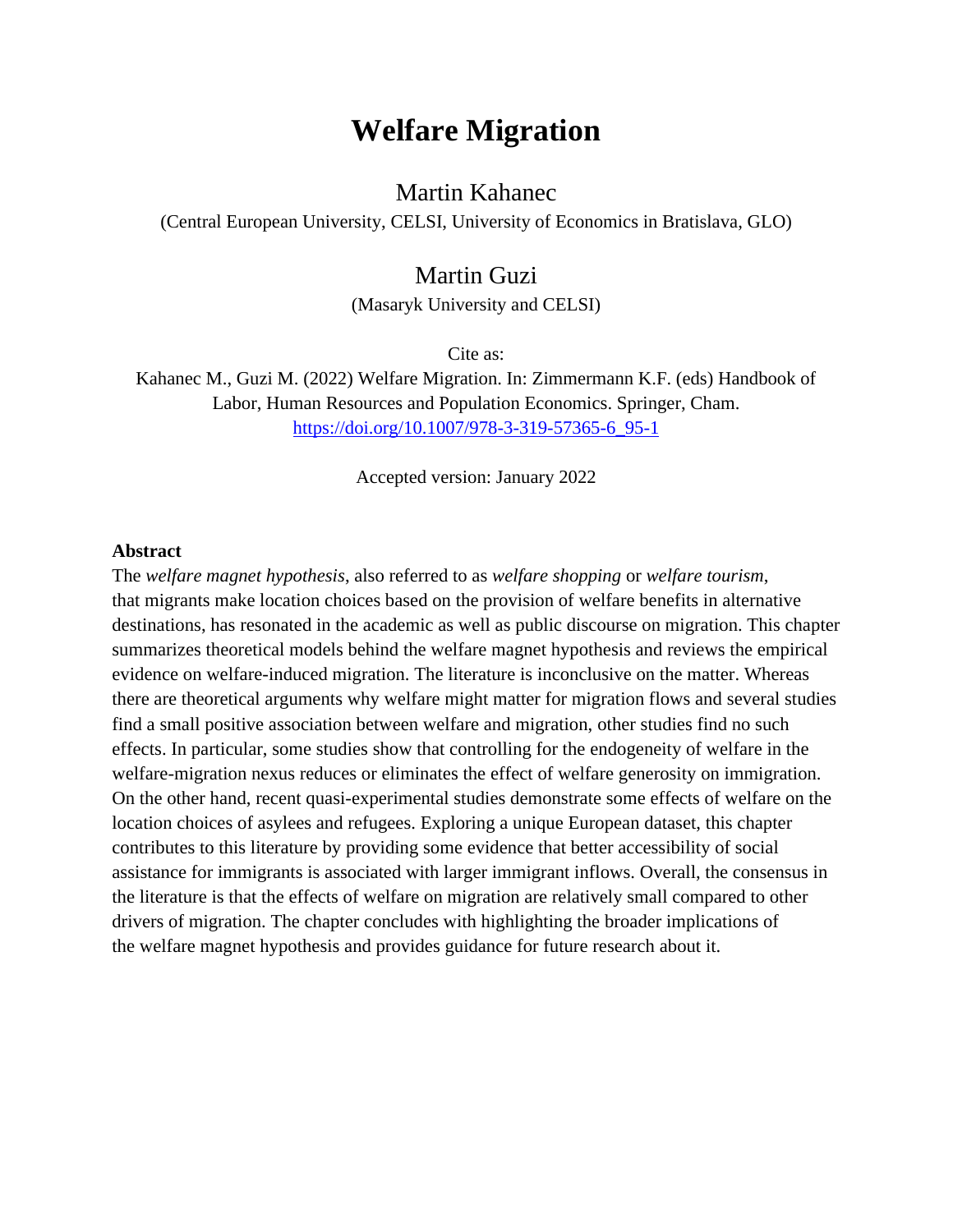# **Welfare Migration**

# Martin Kahanec

(Central European University, CELSI, University of Economics in Bratislava, GLO)

# Martin Guzi

(Masaryk University and CELSI)

Cite as:

Kahanec M., Guzi M. (2022) Welfare Migration. In: Zimmermann K.F. (eds) Handbook of Labor, Human Resources and Population Economics. Springer, Cham. [https://doi.org/10.1007/978-3-319-57365-6\\_95-1](https://doi.org/10.1007/978-3-319-57365-6_95-1)

Accepted version: January 2022

#### **Abstract**

The *welfare magnet hypothesis*, also referred to as *welfare shopping* or *welfare tourism*, that migrants make location choices based on the provision of welfare benefits in alternative destinations, has resonated in the academic as well as public discourse on migration. This chapter summarizes theoretical models behind the welfare magnet hypothesis and reviews the empirical evidence on welfare-induced migration. The literature is inconclusive on the matter. Whereas there are theoretical arguments why welfare might matter for migration flows and several studies find a small positive association between welfare and migration, other studies find no such effects. In particular, some studies show that controlling for the endogeneity of welfare in the welfare-migration nexus reduces or eliminates the effect of welfare generosity on immigration. On the other hand, recent quasi-experimental studies demonstrate some effects of welfare on the location choices of asylees and refugees. Exploring a unique European dataset, this chapter contributes to this literature by providing some evidence that better accessibility of social assistance for immigrants is associated with larger immigrant inflows. Overall, the consensus in the literature is that the effects of welfare on migration are relatively small compared to other drivers of migration. The chapter concludes with highlighting the broader implications of the welfare magnet hypothesis and provides guidance for future research about it.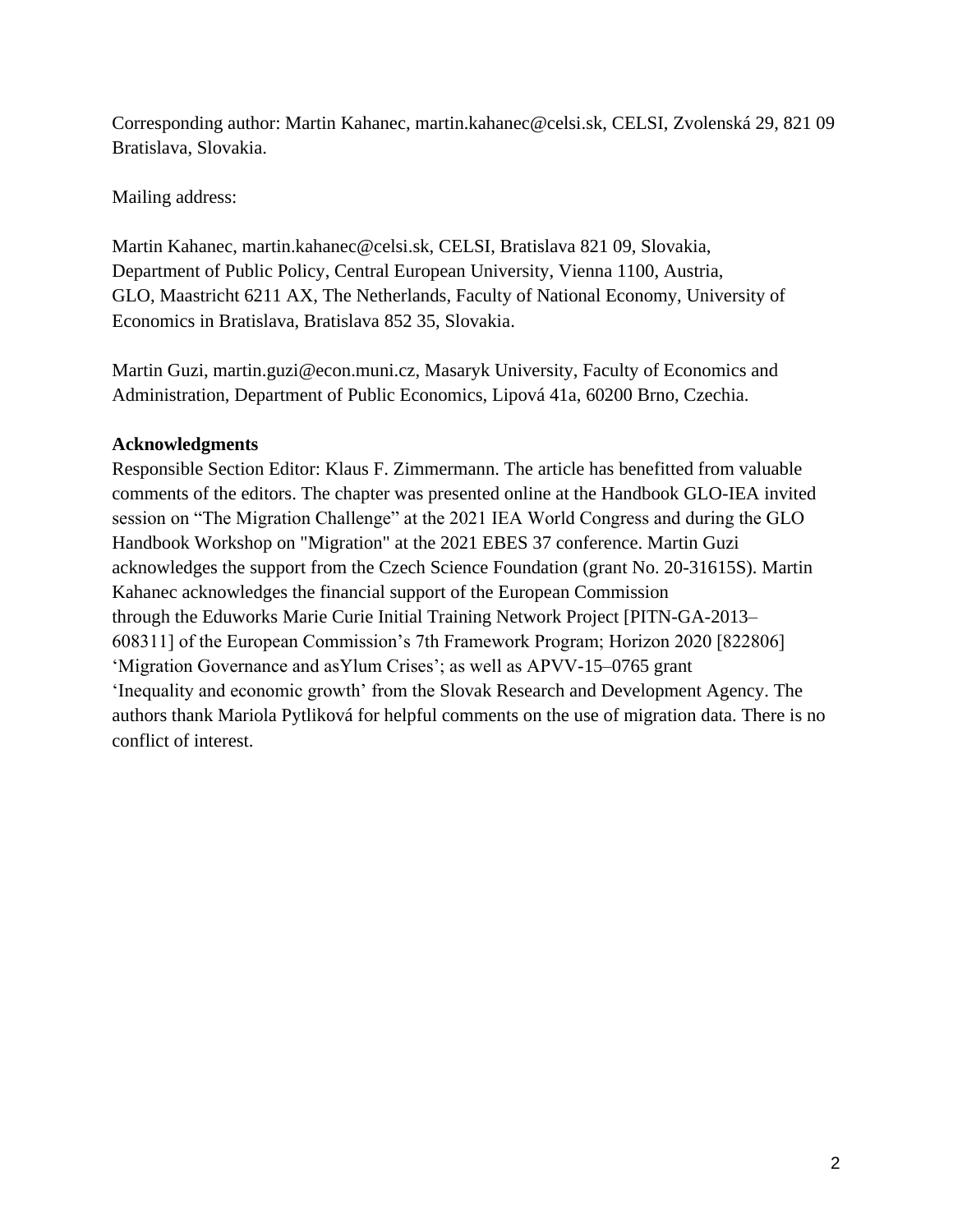Corresponding author: Martin Kahanec, martin.kahanec@celsi.sk, CELSI, Zvolenská 29, 821 09 Bratislava, Slovakia.

Mailing address:

Martin Kahanec, martin.kahanec@celsi.sk, CELSI, Bratislava 821 09, Slovakia, Department of Public Policy, Central European University, Vienna 1100, Austria, GLO, Maastricht 6211 AX, The Netherlands, Faculty of National Economy, University of Economics in Bratislava, Bratislava 852 35, Slovakia.

Martin Guzi, martin.guzi@econ.muni.cz, Masaryk University, Faculty of Economics and Administration, Department of Public Economics, Lipová 41a, 60200 Brno, Czechia.

# **Acknowledgments**

Responsible Section Editor: Klaus F. Zimmermann. The article has benefitted from valuable comments of the editors. The chapter was presented online at the Handbook GLO-IEA invited session on "The Migration Challenge" at the 2021 IEA World Congress and during the GLO Handbook Workshop on "Migration" at the 2021 EBES 37 conference. Martin Guzi acknowledges the support from the Czech Science Foundation (grant No. 20-31615S). Martin Kahanec acknowledges the financial support of the European Commission through the Eduworks Marie Curie Initial Training Network Project [PITN-GA-2013– 608311] of the European Commission's 7th Framework Program; Horizon 2020 [822806] 'Migration Governance and asYlum Crises'; as well as APVV-15–0765 grant 'Inequality and economic growth' from the Slovak Research and Development Agency. The authors thank Mariola Pytliková for helpful comments on the use of migration data. There is no conflict of interest.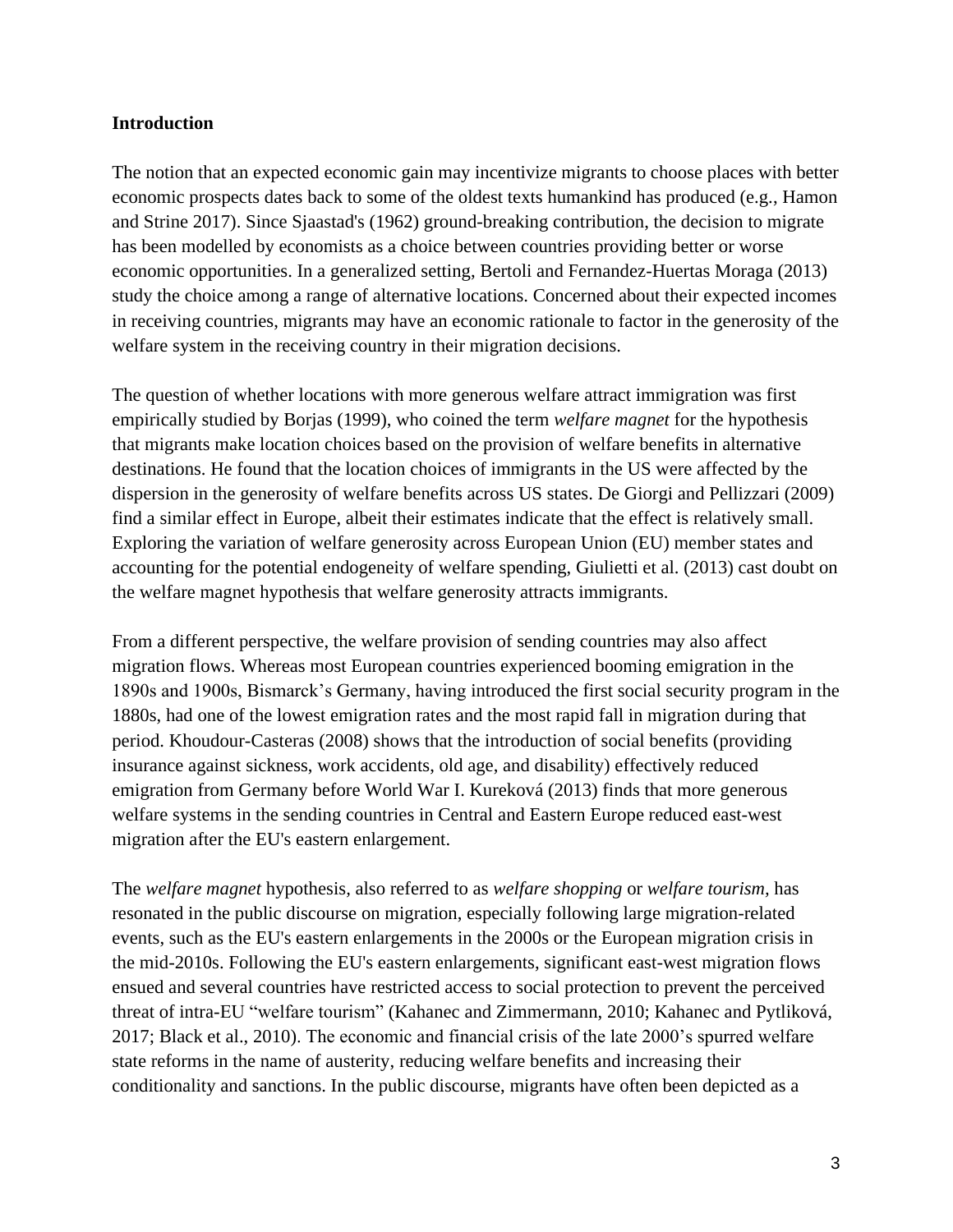#### **Introduction**

The notion that an expected economic gain may incentivize migrants to choose places with better economic prospects dates back to some of the oldest texts humankind has produced (e.g., Hamon and Strine 2017). Since Sjaastad's (1962) ground-breaking contribution, the decision to migrate has been modelled by economists as a choice between countries providing better or worse economic opportunities. In a generalized setting, Bertoli and Fernandez-Huertas Moraga (2013) study the choice among a range of alternative locations. Concerned about their expected incomes in receiving countries, migrants may have an economic rationale to factor in the generosity of the welfare system in the receiving country in their migration decisions.

The question of whether locations with more generous welfare attract immigration was first empirically studied by Borjas (1999), who coined the term *welfare magnet* for the hypothesis that migrants make location choices based on the provision of welfare benefits in alternative destinations. He found that the location choices of immigrants in the US were affected by the dispersion in the generosity of welfare benefits across US states. De Giorgi and Pellizzari (2009) find a similar effect in Europe, albeit their estimates indicate that the effect is relatively small. Exploring the variation of welfare generosity across European Union (EU) member states and accounting for the potential endogeneity of welfare spending, Giulietti et al. (2013) cast doubt on the welfare magnet hypothesis that welfare generosity attracts immigrants.

From a different perspective, the welfare provision of sending countries may also affect migration flows. Whereas most European countries experienced booming emigration in the 1890s and 1900s, Bismarck's Germany, having introduced the first social security program in the 1880s, had one of the lowest emigration rates and the most rapid fall in migration during that period. Khoudour-Casteras (2008) shows that the introduction of social benefits (providing insurance against sickness, work accidents, old age, and disability) effectively reduced emigration from Germany before World War I. Kureková (2013) finds that more generous welfare systems in the sending countries in Central and Eastern Europe reduced east-west migration after the EU's eastern enlargement.

The *welfare magnet* hypothesis*,* also referred to as *welfare shopping* or *welfare tourism,* has resonated in the public discourse on migration, especially following large migration-related events, such as the EU's eastern enlargements in the 2000s or the European migration crisis in the mid-2010s. Following the EU's eastern enlargements, significant east-west migration flows ensued and several countries have restricted access to social protection to prevent the perceived threat of intra-EU "welfare tourism" (Kahanec and Zimmermann, 2010; Kahanec and Pytliková, 2017; Black et al., 2010). The economic and financial crisis of the late 2000's spurred welfare state reforms in the name of austerity, reducing welfare benefits and increasing their conditionality and sanctions. In the public discourse, migrants have often been depicted as a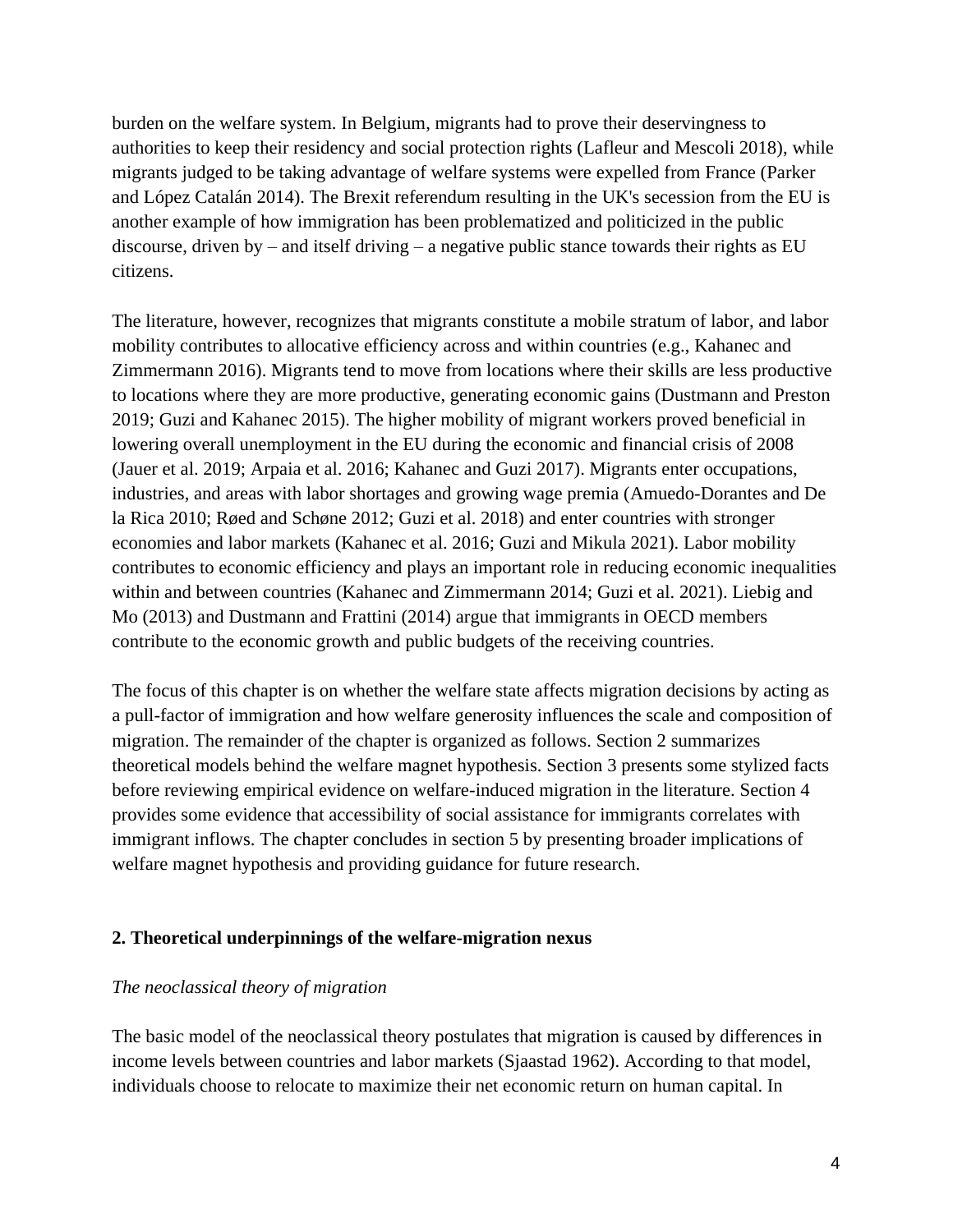burden on the welfare system. In Belgium, migrants had to prove their deservingness to authorities to keep their residency and social protection rights (Lafleur and Mescoli 2018), while migrants judged to be taking advantage of welfare systems were expelled from France (Parker and López Catalán 2014). The Brexit referendum resulting in the UK's secession from the EU is another example of how immigration has been problematized and politicized in the public discourse, driven by – and itself driving – a negative public stance towards their rights as EU citizens.

The literature, however, recognizes that migrants constitute a mobile stratum of labor, and labor mobility contributes to allocative efficiency across and within countries (e.g., Kahanec and Zimmermann 2016). Migrants tend to move from locations where their skills are less productive to locations where they are more productive, generating economic gains (Dustmann and Preston 2019; Guzi and Kahanec 2015). The higher mobility of migrant workers proved beneficial in lowering overall unemployment in the EU during the economic and financial crisis of 2008 (Jauer et al. 2019; Arpaia et al. 2016; Kahanec and Guzi 2017). Migrants enter occupations, industries, and areas with labor shortages and growing wage premia (Amuedo-Dorantes and De la Rica 2010; Røed and Schøne 2012; Guzi et al. 2018) and enter countries with stronger economies and labor markets (Kahanec et al. 2016; Guzi and Mikula 2021). Labor mobility contributes to economic efficiency and plays an important role in reducing economic inequalities within and between countries (Kahanec and Zimmermann 2014; Guzi et al. 2021). Liebig and Mo (2013) and Dustmann and Frattini (2014) argue that immigrants in OECD members contribute to the economic growth and public budgets of the receiving countries.

The focus of this chapter is on whether the welfare state affects migration decisions by acting as a pull-factor of immigration and how welfare generosity influences the scale and composition of migration. The remainder of the chapter is organized as follows. Section 2 summarizes theoretical models behind the welfare magnet hypothesis. Section 3 presents some stylized facts before reviewing empirical evidence on welfare-induced migration in the literature. Section 4 provides some evidence that accessibility of social assistance for immigrants correlates with immigrant inflows. The chapter concludes in section 5 by presenting broader implications of welfare magnet hypothesis and providing guidance for future research.

#### **2. Theoretical underpinnings of the welfare-migration nexus**

#### *The neoclassical theory of migration*

The basic model of the neoclassical theory postulates that migration is caused by differences in income levels between countries and labor markets (Sjaastad 1962). According to that model, individuals choose to relocate to maximize their net economic return on human capital. In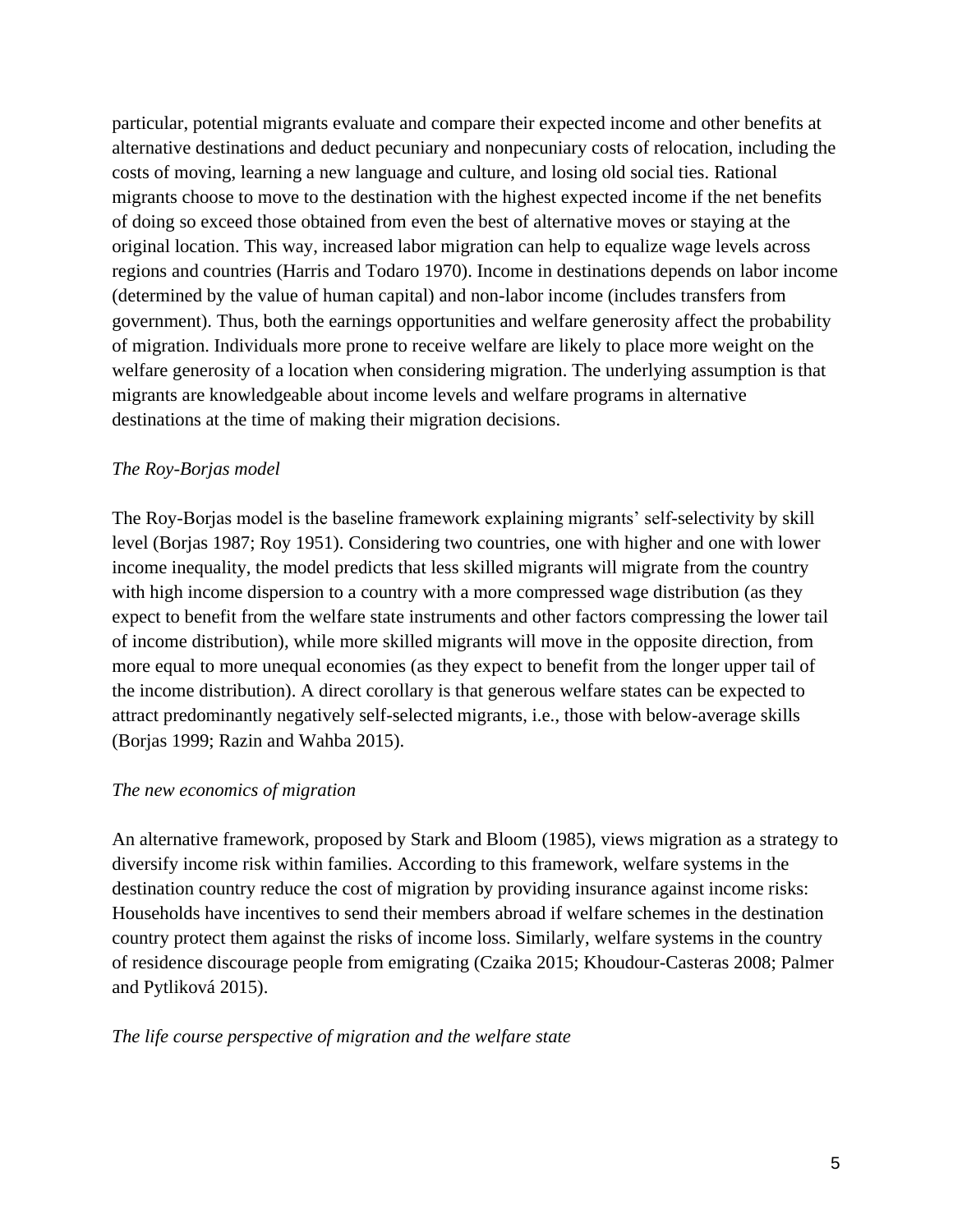particular, potential migrants evaluate and compare their expected income and other benefits at alternative destinations and deduct pecuniary and nonpecuniary costs of relocation, including the costs of moving, learning a new language and culture, and losing old social ties. Rational migrants choose to move to the destination with the highest expected income if the net benefits of doing so exceed those obtained from even the best of alternative moves or staying at the original location. This way, increased labor migration can help to equalize wage levels across regions and countries (Harris and Todaro 1970). Income in destinations depends on labor income (determined by the value of human capital) and non-labor income (includes transfers from government). Thus, both the earnings opportunities and welfare generosity affect the probability of migration. Individuals more prone to receive welfare are likely to place more weight on the welfare generosity of a location when considering migration. The underlying assumption is that migrants are knowledgeable about income levels and welfare programs in alternative destinations at the time of making their migration decisions.

# *The Roy-Borjas model*

The Roy-Borjas model is the baseline framework explaining migrants' self-selectivity by skill level (Borjas 1987; Roy 1951). Considering two countries, one with higher and one with lower income inequality, the model predicts that less skilled migrants will migrate from the country with high income dispersion to a country with a more compressed wage distribution (as they expect to benefit from the welfare state instruments and other factors compressing the lower tail of income distribution), while more skilled migrants will move in the opposite direction, from more equal to more unequal economies (as they expect to benefit from the longer upper tail of the income distribution). A direct corollary is that generous welfare states can be expected to attract predominantly negatively self-selected migrants, i.e., those with below-average skills (Borjas 1999; Razin and Wahba 2015).

#### *The new economics of migration*

An alternative framework, proposed by Stark and Bloom (1985), views migration as a strategy to diversify income risk within families. According to this framework, welfare systems in the destination country reduce the cost of migration by providing insurance against income risks: Households have incentives to send their members abroad if welfare schemes in the destination country protect them against the risks of income loss. Similarly, welfare systems in the country of residence discourage people from emigrating (Czaika 2015; Khoudour-Casteras 2008; Palmer and Pytliková 2015).

#### *The life course perspective of migration and the welfare state*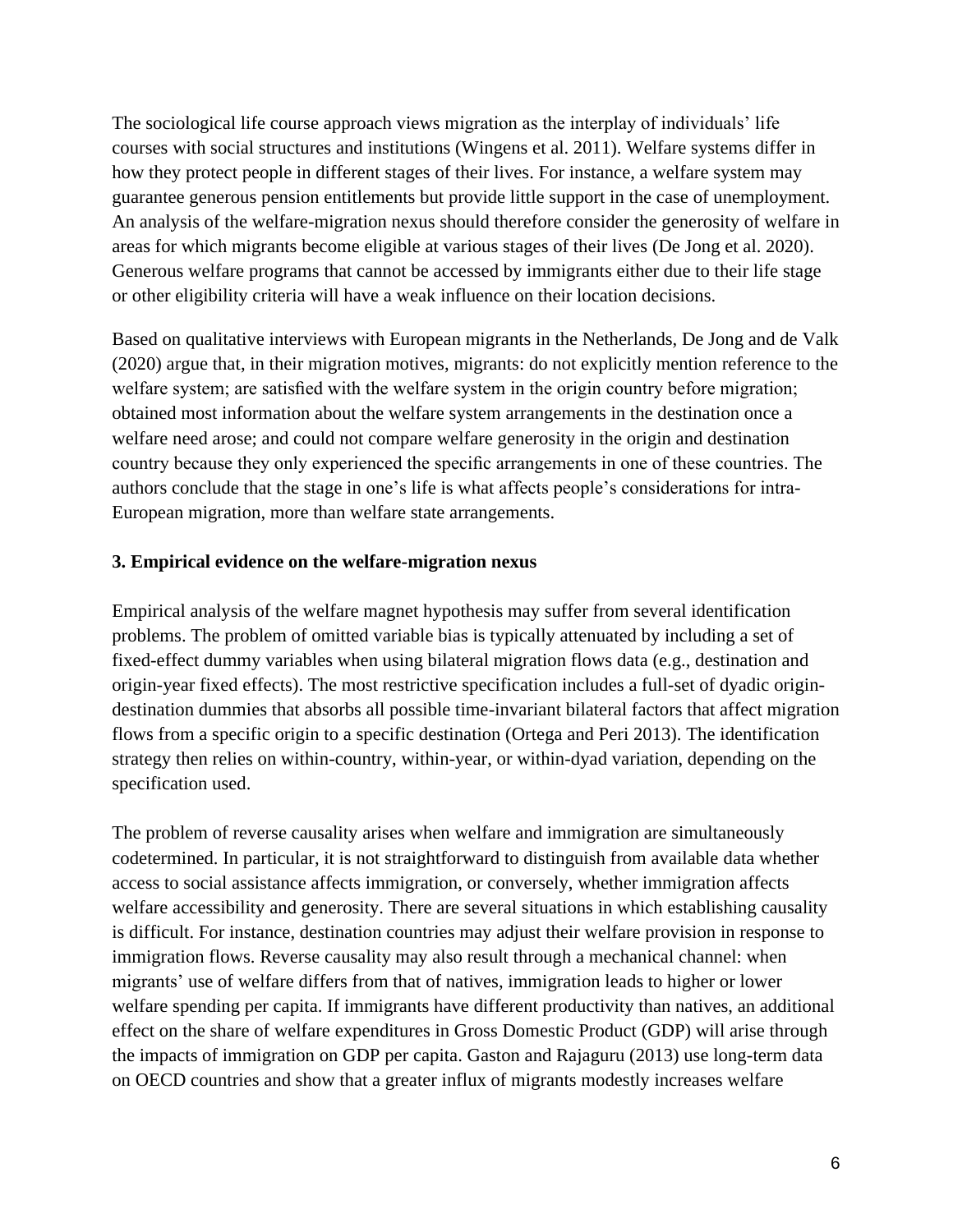The sociological life course approach views migration as the interplay of individuals' life courses with social structures and institutions (Wingens et al. 2011). Welfare systems differ in how they protect people in different stages of their lives. For instance, a welfare system may guarantee generous pension entitlements but provide little support in the case of unemployment. An analysis of the welfare-migration nexus should therefore consider the generosity of welfare in areas for which migrants become eligible at various stages of their lives (De Jong et al. 2020). Generous welfare programs that cannot be accessed by immigrants either due to their life stage or other eligibility criteria will have a weak influence on their location decisions.

Based on qualitative interviews with European migrants in the Netherlands, De Jong and de Valk (2020) argue that, in their migration motives, migrants: do not explicitly mention reference to the welfare system; are satisfied with the welfare system in the origin country before migration; obtained most information about the welfare system arrangements in the destination once a welfare need arose; and could not compare welfare generosity in the origin and destination country because they only experienced the specific arrangements in one of these countries. The authors conclude that the stage in one's life is what affects people's considerations for intra-European migration, more than welfare state arrangements.

# **3. Empirical evidence on the welfare-migration nexus**

Empirical analysis of the welfare magnet hypothesis may suffer from several identification problems. The problem of omitted variable bias is typically attenuated by including a set of fixed-effect dummy variables when using bilateral migration flows data (e.g., destination and origin-year fixed effects). The most restrictive specification includes a full-set of dyadic origindestination dummies that absorbs all possible time-invariant bilateral factors that affect migration flows from a specific origin to a specific destination (Ortega and Peri 2013). The identification strategy then relies on within-country, within-year, or within-dyad variation, depending on the specification used.

The problem of reverse causality arises when welfare and immigration are simultaneously codetermined. In particular, it is not straightforward to distinguish from available data whether access to social assistance affects immigration, or conversely, whether immigration affects welfare accessibility and generosity. There are several situations in which establishing causality is difficult. For instance, destination countries may adjust their welfare provision in response to immigration flows. Reverse causality may also result through a mechanical channel: when migrants' use of welfare differs from that of natives, immigration leads to higher or lower welfare spending per capita. If immigrants have different productivity than natives, an additional effect on the share of welfare expenditures in Gross Domestic Product (GDP) will arise through the impacts of immigration on GDP per capita. Gaston and Rajaguru (2013) use long-term data on OECD countries and show that a greater influx of migrants modestly increases welfare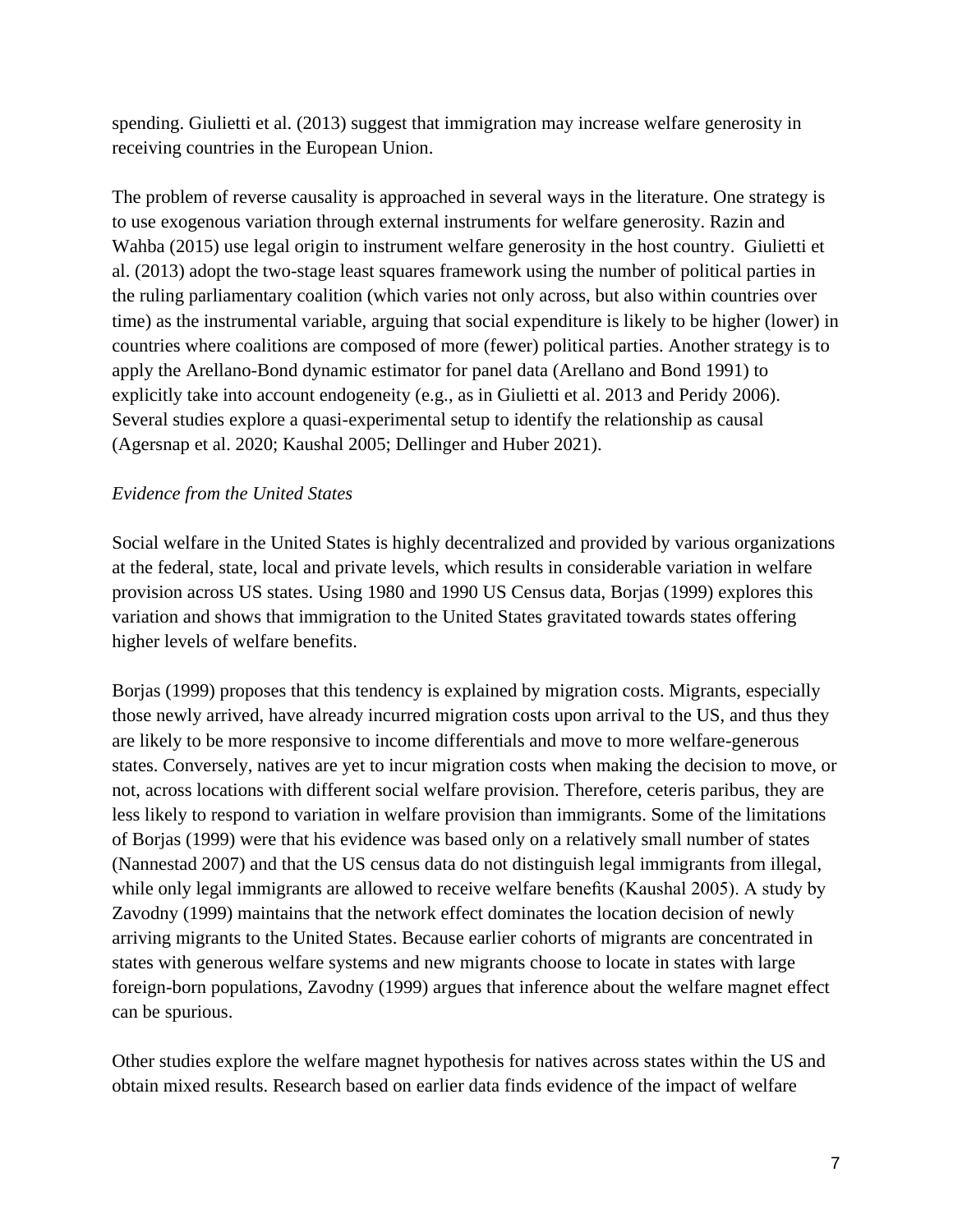spending. Giulietti et al. (2013) suggest that immigration may increase welfare generosity in receiving countries in the European Union.

The problem of reverse causality is approached in several ways in the literature. One strategy is to use exogenous variation through external instruments for welfare generosity. Razin and Wahba (2015) use legal origin to instrument welfare generosity in the host country. Giulietti et al. (2013) adopt the two-stage least squares framework using the number of political parties in the ruling parliamentary coalition (which varies not only across, but also within countries over time) as the instrumental variable, arguing that social expenditure is likely to be higher (lower) in countries where coalitions are composed of more (fewer) political parties. Another strategy is to apply the Arellano-Bond dynamic estimator for panel data (Arellano and Bond 1991) to explicitly take into account endogeneity (e.g., as in Giulietti et al. 2013 and Peridy 2006). Several studies explore a quasi-experimental setup to identify the relationship as causal (Agersnap et al. 2020; Kaushal 2005; Dellinger and Huber 2021).

# *Evidence from the United States*

Social welfare in the United States is highly decentralized and provided by various organizations at the federal, state, local and private levels, which results in considerable variation in welfare provision across US states. Using 1980 and 1990 US Census data, Borjas (1999) explores this variation and shows that immigration to the United States gravitated towards states offering higher levels of welfare benefits.

Borjas (1999) proposes that this tendency is explained by migration costs. Migrants, especially those newly arrived, have already incurred migration costs upon arrival to the US, and thus they are likely to be more responsive to income differentials and move to more welfare-generous states. Conversely, natives are yet to incur migration costs when making the decision to move, or not, across locations with different social welfare provision. Therefore, ceteris paribus, they are less likely to respond to variation in welfare provision than immigrants. Some of the limitations of Borjas (1999) were that his evidence was based only on a relatively small number of states (Nannestad 2007) and that the US census data do not distinguish legal immigrants from illegal, while only legal immigrants are allowed to receive welfare benefits (Kaushal 2005). A study by Zavodny (1999) maintains that the network effect dominates the location decision of newly arriving migrants to the United States. Because earlier cohorts of migrants are concentrated in states with generous welfare systems and new migrants choose to locate in states with large foreign-born populations, Zavodny (1999) argues that inference about the welfare magnet effect can be spurious.

Other studies explore the welfare magnet hypothesis for natives across states within the US and obtain mixed results. Research based on earlier data finds evidence of the impact of welfare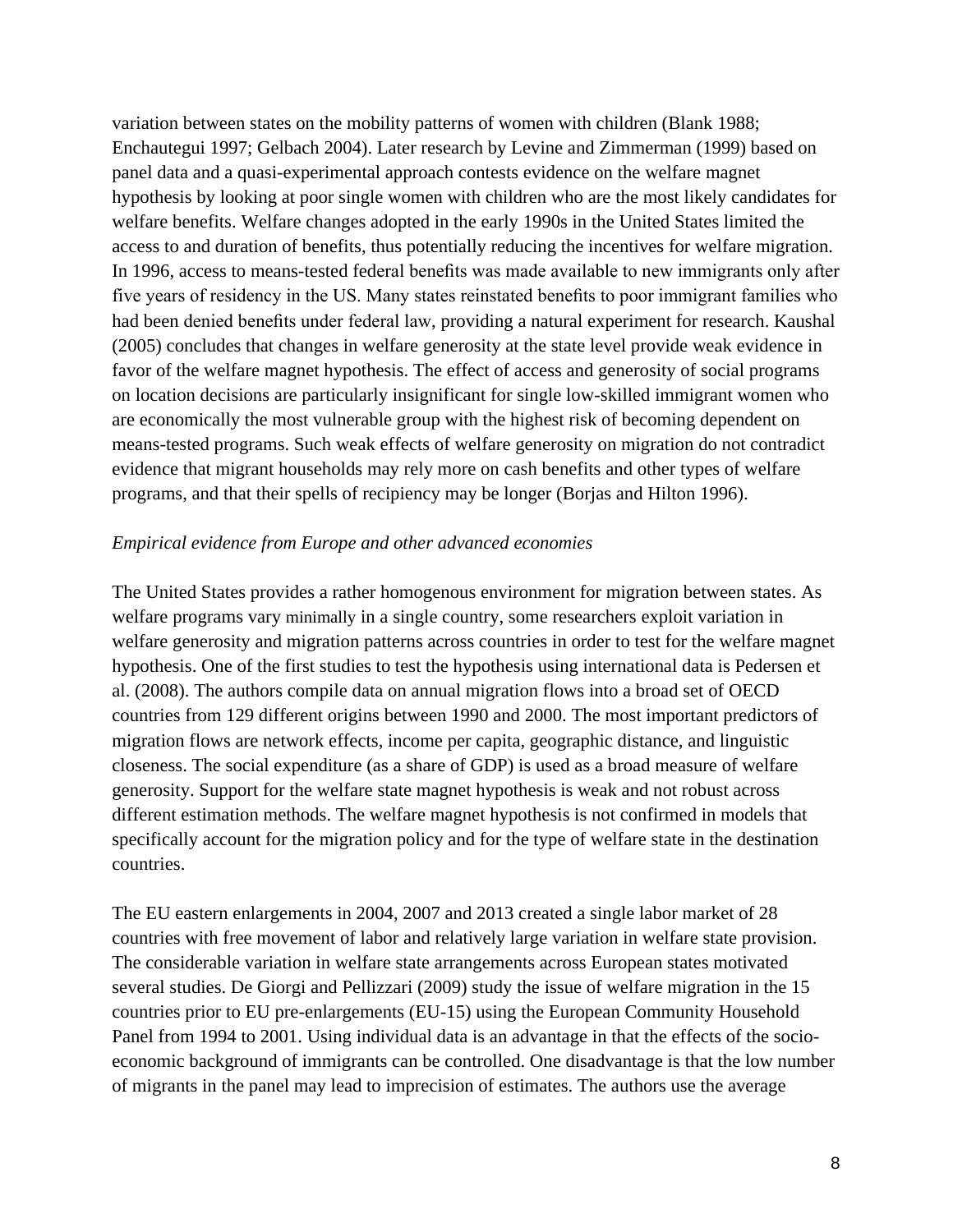variation between states on the mobility patterns of women with children (Blank 1988; Enchautegui 1997; Gelbach 2004). Later research by Levine and Zimmerman (1999) based on panel data and a quasi-experimental approach contests evidence on the welfare magnet hypothesis by looking at poor single women with children who are the most likely candidates for welfare benefits. Welfare changes adopted in the early 1990s in the United States limited the access to and duration of benefits, thus potentially reducing the incentives for welfare migration. In 1996, access to means-tested federal benefits was made available to new immigrants only after five years of residency in the US. Many states reinstated benefits to poor immigrant families who had been denied benefits under federal law, providing a natural experiment for research. Kaushal (2005) concludes that changes in welfare generosity at the state level provide weak evidence in favor of the welfare magnet hypothesis. The effect of access and generosity of social programs on location decisions are particularly insignificant for single low-skilled immigrant women who are economically the most vulnerable group with the highest risk of becoming dependent on means-tested programs. Such weak effects of welfare generosity on migration do not contradict evidence that migrant households may rely more on cash benefits and other types of welfare programs, and that their spells of recipiency may be longer (Borjas and Hilton 1996).

#### *Empirical evidence from Europe and other advanced economies*

The United States provides a rather homogenous environment for migration between states. As welfare programs vary minimally in a single country, some researchers exploit variation in welfare generosity and migration patterns across countries in order to test for the welfare magnet hypothesis. One of the first studies to test the hypothesis using international data is Pedersen et al. (2008). The authors compile data on annual migration flows into a broad set of OECD countries from 129 different origins between 1990 and 2000. The most important predictors of migration flows are network effects, income per capita, geographic distance, and linguistic closeness. The social expenditure (as a share of GDP) is used as a broad measure of welfare generosity. Support for the welfare state magnet hypothesis is weak and not robust across different estimation methods. The welfare magnet hypothesis is not confirmed in models that specifically account for the migration policy and for the type of welfare state in the destination countries.

The EU eastern enlargements in 2004, 2007 and 2013 created a single labor market of 28 countries with free movement of labor and relatively large variation in welfare state provision. The considerable variation in welfare state arrangements across European states motivated several studies. De Giorgi and Pellizzari (2009) study the issue of welfare migration in the 15 countries prior to EU pre-enlargements (EU-15) using the European Community Household Panel from 1994 to 2001. Using individual data is an advantage in that the effects of the socioeconomic background of immigrants can be controlled. One disadvantage is that the low number of migrants in the panel may lead to imprecision of estimates. The authors use the average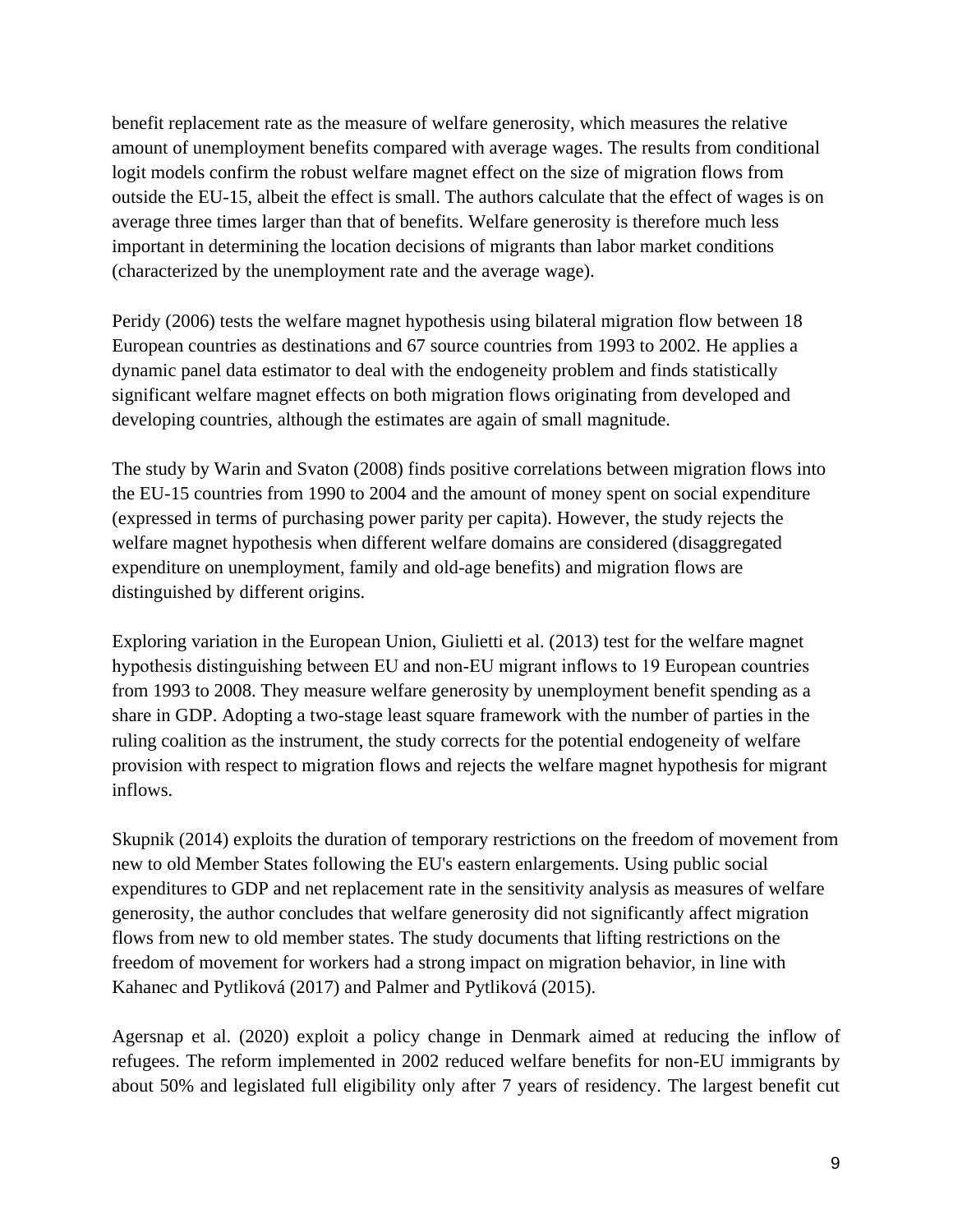benefit replacement rate as the measure of welfare generosity, which measures the relative amount of unemployment benefits compared with average wages. The results from conditional logit models confirm the robust welfare magnet effect on the size of migration flows from outside the EU-15, albeit the effect is small. The authors calculate that the effect of wages is on average three times larger than that of benefits. Welfare generosity is therefore much less important in determining the location decisions of migrants than labor market conditions (characterized by the unemployment rate and the average wage).

Peridy (2006) tests the welfare magnet hypothesis using bilateral migration flow between 18 European countries as destinations and 67 source countries from 1993 to 2002. He applies a dynamic panel data estimator to deal with the endogeneity problem and finds statistically significant welfare magnet effects on both migration flows originating from developed and developing countries, although the estimates are again of small magnitude.

The study by Warin and Svaton (2008) finds positive correlations between migration flows into the EU-15 countries from 1990 to 2004 and the amount of money spent on social expenditure (expressed in terms of purchasing power parity per capita). However, the study rejects the welfare magnet hypothesis when different welfare domains are considered (disaggregated expenditure on unemployment, family and old-age benefits) and migration flows are distinguished by different origins.

Exploring variation in the European Union, Giulietti et al. (2013) test for the welfare magnet hypothesis distinguishing between EU and non‐EU migrant inflows to 19 European countries from 1993 to 2008. They measure welfare generosity by unemployment benefit spending as a share in GDP. Adopting a two-stage least square framework with the number of parties in the ruling coalition as the instrument, the study corrects for the potential endogeneity of welfare provision with respect to migration flows and rejects the welfare magnet hypothesis for migrant inflows.

Skupnik (2014) exploits the duration of temporary restrictions on the freedom of movement from new to old Member States following the EU's eastern enlargements. Using public social expenditures to GDP and net replacement rate in the sensitivity analysis as measures of welfare generosity, the author concludes that welfare generosity did not significantly affect migration flows from new to old member states. The study documents that lifting restrictions on the freedom of movement for workers had a strong impact on migration behavior, in line with Kahanec and Pytliková (2017) and Palmer and Pytliková (2015).

Agersnap et al. (2020) exploit a policy change in Denmark aimed at reducing the inflow of refugees. The reform implemented in 2002 reduced welfare benefits for non-EU immigrants by about 50% and legislated full eligibility only after 7 years of residency. The largest benefit cut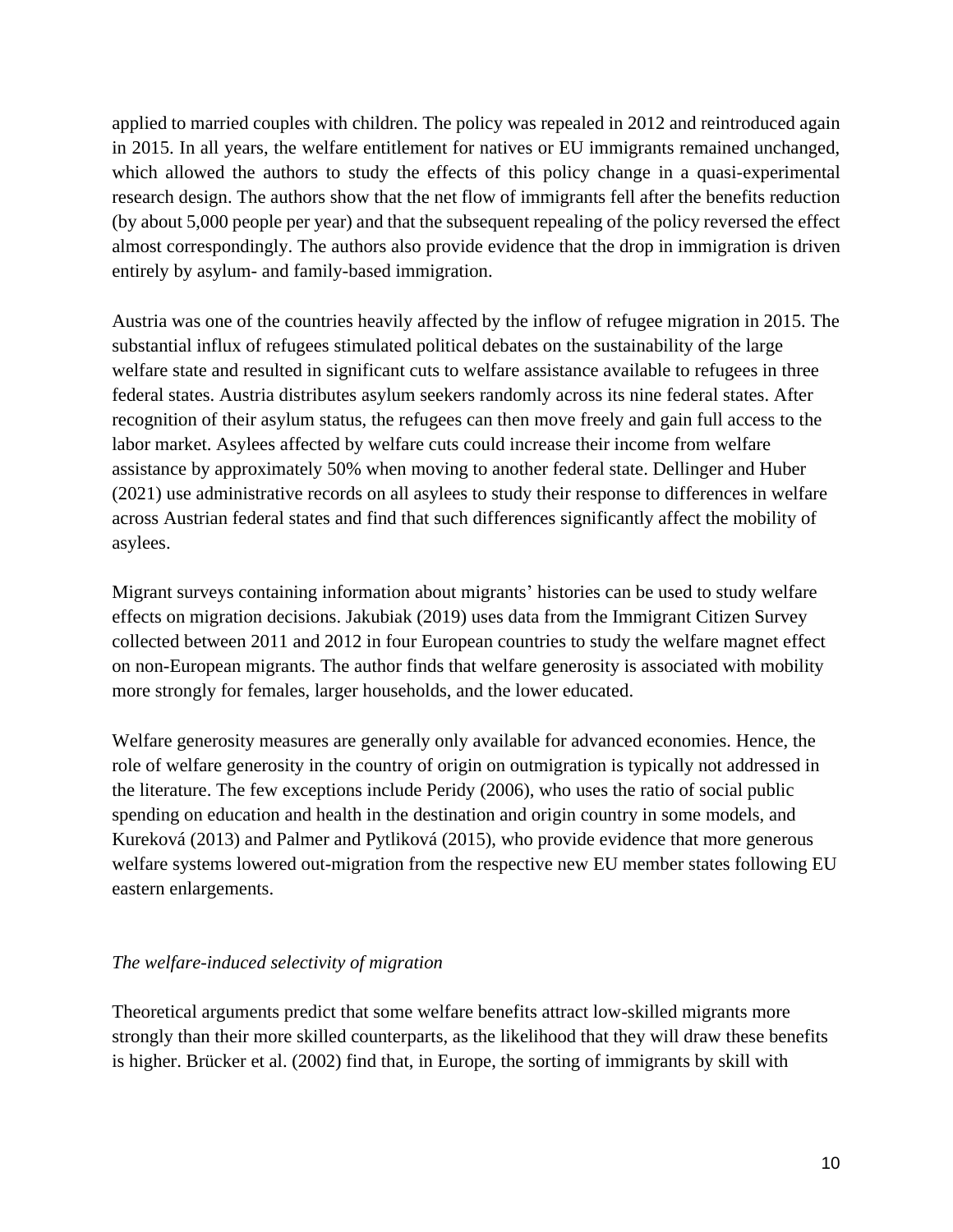applied to married couples with children. The policy was repealed in 2012 and reintroduced again in 2015. In all years, the welfare entitlement for natives or EU immigrants remained unchanged, which allowed the authors to study the effects of this policy change in a quasi-experimental research design. The authors show that the net flow of immigrants fell after the benefits reduction (by about 5,000 people per year) and that the subsequent repealing of the policy reversed the effect almost correspondingly. The authors also provide evidence that the drop in immigration is driven entirely by asylum- and family-based immigration.

Austria was one of the countries heavily affected by the inflow of refugee migration in 2015. The substantial influx of refugees stimulated political debates on the sustainability of the large welfare state and resulted in significant cuts to welfare assistance available to refugees in three federal states. Austria distributes asylum seekers randomly across its nine federal states. After recognition of their asylum status, the refugees can then move freely and gain full access to the labor market. Asylees affected by welfare cuts could increase their income from welfare assistance by approximately 50% when moving to another federal state. Dellinger and Huber (2021) use administrative records on all asylees to study their response to differences in welfare across Austrian federal states and find that such differences significantly affect the mobility of asylees.

Migrant surveys containing information about migrants' histories can be used to study welfare effects on migration decisions. Jakubiak (2019) uses data from the Immigrant Citizen Survey collected between 2011 and 2012 in four European countries to study the welfare magnet effect on non-European migrants. The author finds that welfare generosity is associated with mobility more strongly for females, larger households, and the lower educated.

Welfare generosity measures are generally only available for advanced economies. Hence, the role of welfare generosity in the country of origin on outmigration is typically not addressed in the literature. The few exceptions include Peridy (2006), who uses the ratio of social public spending on education and health in the destination and origin country in some models, and Kureková (2013) and Palmer and Pytliková (2015), who provide evidence that more generous welfare systems lowered out-migration from the respective new EU member states following EU eastern enlargements.

# *The welfare-induced selectivity of migration*

Theoretical arguments predict that some welfare benefits attract low-skilled migrants more strongly than their more skilled counterparts, as the likelihood that they will draw these benefits is higher. Brücker et al. (2002) find that, in Europe, the sorting of immigrants by skill with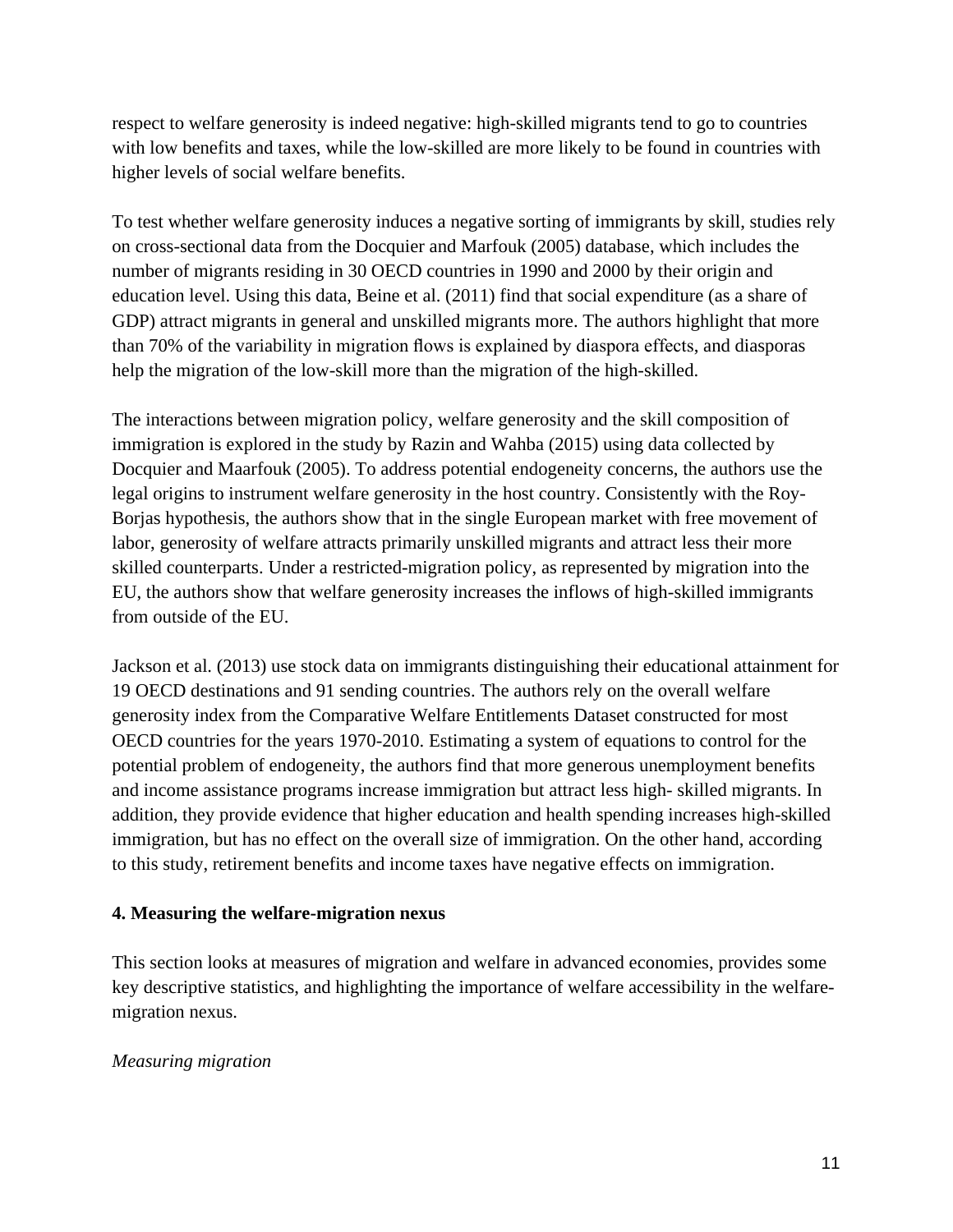respect to welfare generosity is indeed negative: high-skilled migrants tend to go to countries with low benefits and taxes, while the low-skilled are more likely to be found in countries with higher levels of social welfare benefits.

To test whether welfare generosity induces a negative sorting of immigrants by skill, studies rely on cross-sectional data from the Docquier and Marfouk (2005) database, which includes the number of migrants residing in 30 OECD countries in 1990 and 2000 by their origin and education level. Using this data, Beine et al. (2011) find that social expenditure (as a share of GDP) attract migrants in general and unskilled migrants more. The authors highlight that more than 70% of the variability in migration flows is explained by diaspora effects, and diasporas help the migration of the low-skill more than the migration of the high-skilled.

The interactions between migration policy, welfare generosity and the skill composition of immigration is explored in the study by Razin and Wahba (2015) using data collected by Docquier and Maarfouk (2005). To address potential endogeneity concerns, the authors use the legal origins to instrument welfare generosity in the host country. Consistently with the Roy-Borjas hypothesis, the authors show that in the single European market with free movement of labor, generosity of welfare attracts primarily unskilled migrants and attract less their more skilled counterparts. Under a restricted-migration policy, as represented by migration into the EU, the authors show that welfare generosity increases the inflows of high-skilled immigrants from outside of the EU.

Jackson et al. (2013) use stock data on immigrants distinguishing their educational attainment for 19 OECD destinations and 91 sending countries. The authors rely on the overall welfare generosity index from the Comparative Welfare Entitlements Dataset constructed for most OECD countries for the years 1970-2010. Estimating a system of equations to control for the potential problem of endogeneity, the authors find that more generous unemployment benefits and income assistance programs increase immigration but attract less high- skilled migrants. In addition, they provide evidence that higher education and health spending increases high-skilled immigration, but has no effect on the overall size of immigration. On the other hand, according to this study, retirement benefits and income taxes have negative effects on immigration.

# **4. Measuring the welfare-migration nexus**

This section looks at measures of migration and welfare in advanced economies, provides some key descriptive statistics, and highlighting the importance of welfare accessibility in the welfaremigration nexus.

# *Measuring migration*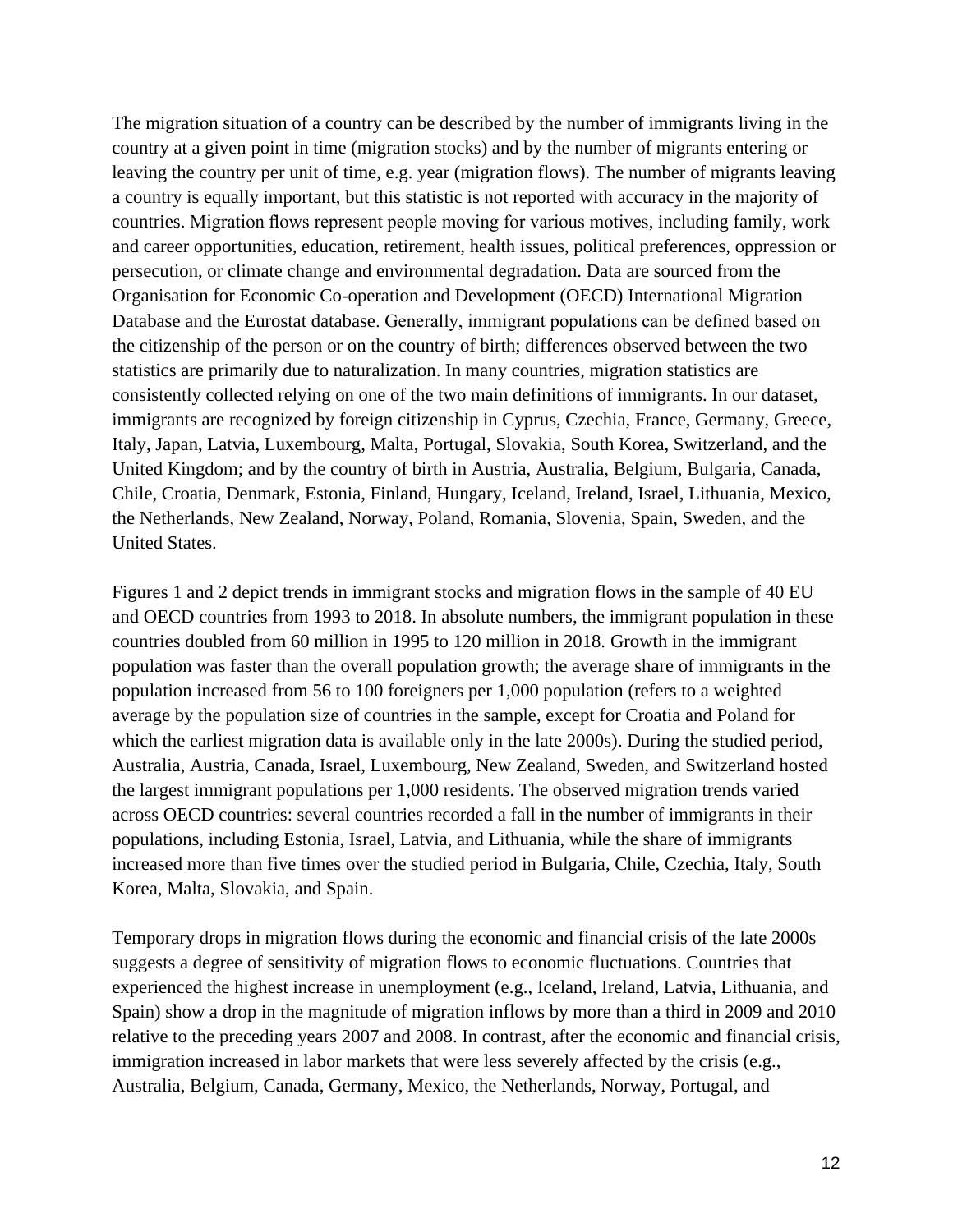The migration situation of a country can be described by the number of immigrants living in the country at a given point in time (migration stocks) and by the number of migrants entering or leaving the country per unit of time, e.g. year (migration flows). The number of migrants leaving a country is equally important, but this statistic is not reported with accuracy in the majority of countries. Migration flows represent people moving for various motives, including family, work and career opportunities, education, retirement, health issues, political preferences, oppression or persecution, or climate change and environmental degradation. Data are sourced from the Organisation for Economic Co-operation and Development (OECD) International Migration Database and the Eurostat database. Generally, immigrant populations can be defined based on the citizenship of the person or on the country of birth; differences observed between the two statistics are primarily due to naturalization. In many countries, migration statistics are consistently collected relying on one of the two main definitions of immigrants. In our dataset, immigrants are recognized by foreign citizenship in Cyprus, Czechia, France, Germany, Greece, Italy, Japan, Latvia, Luxembourg, Malta, Portugal, Slovakia, South Korea, Switzerland, and the United Kingdom; and by the country of birth in Austria, Australia, Belgium, Bulgaria, Canada, Chile, Croatia, Denmark, Estonia, Finland, Hungary, Iceland, Ireland, Israel, Lithuania, Mexico, the Netherlands, New Zealand, Norway, Poland, Romania, Slovenia, Spain, Sweden, and the United States.

Figures 1 and 2 depict trends in immigrant stocks and migration flows in the sample of 40 EU and OECD countries from 1993 to 2018. In absolute numbers, the immigrant population in these countries doubled from 60 million in 1995 to 120 million in 2018. Growth in the immigrant population was faster than the overall population growth; the average share of immigrants in the population increased from 56 to 100 foreigners per 1,000 population (refers to a weighted average by the population size of countries in the sample, except for Croatia and Poland for which the earliest migration data is available only in the late 2000s). During the studied period, Australia, Austria, Canada, Israel, Luxembourg, New Zealand, Sweden, and Switzerland hosted the largest immigrant populations per 1,000 residents. The observed migration trends varied across OECD countries: several countries recorded a fall in the number of immigrants in their populations, including Estonia, Israel, Latvia, and Lithuania, while the share of immigrants increased more than five times over the studied period in Bulgaria, Chile, Czechia, Italy, South Korea, Malta, Slovakia, and Spain.

Temporary drops in migration flows during the economic and financial crisis of the late 2000s suggests a degree of sensitivity of migration flows to economic fluctuations. Countries that experienced the highest increase in unemployment (e.g., Iceland, Ireland, Latvia, Lithuania, and Spain) show a drop in the magnitude of migration inflows by more than a third in 2009 and 2010 relative to the preceding years 2007 and 2008. In contrast, after the economic and financial crisis, immigration increased in labor markets that were less severely affected by the crisis (e.g., Australia, Belgium, Canada, Germany, Mexico, the Netherlands, Norway, Portugal, and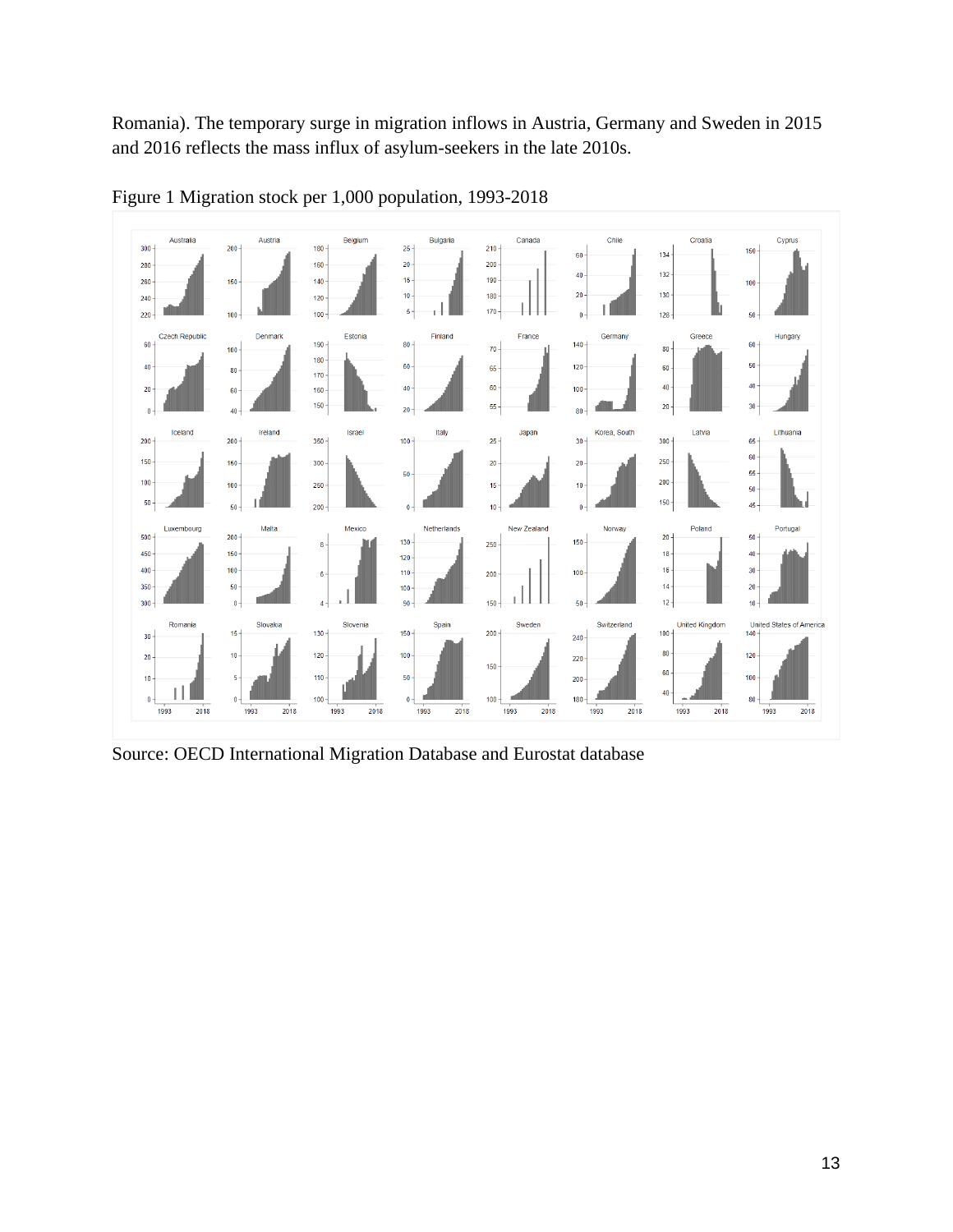Romania). The temporary surge in migration inflows in Austria, Germany and Sweden in 2015 and 2016 reflects the mass influx of asylum-seekers in the late 2010s.



Figure 1 Migration stock per 1,000 population, 1993-2018

Source: OECD International Migration Database and Eurostat database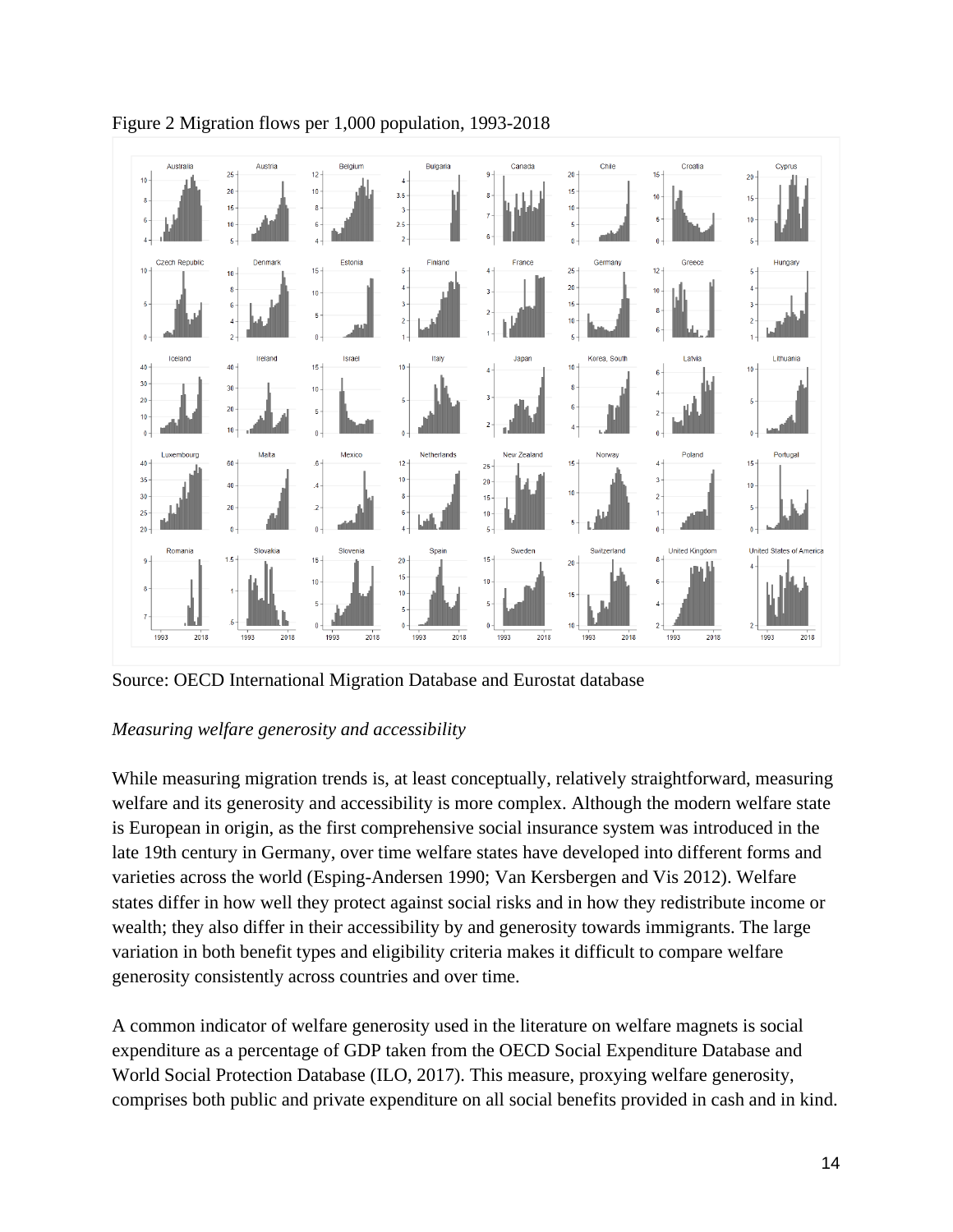

Figure 2 Migration flows per 1,000 population, 1993-2018

Source: OECD International Migration Database and Eurostat database

# *Measuring welfare generosity and accessibility*

While measuring migration trends is, at least conceptually, relatively straightforward, measuring welfare and its generosity and accessibility is more complex. Although the modern welfare state is European in origin, as the first comprehensive social insurance system was introduced in the late 19th century in Germany, over time welfare states have developed into different forms and varieties across the world (Esping-Andersen 1990; Van Kersbergen and Vis 2012). Welfare states differ in how well they protect against social risks and in how they redistribute income or wealth; they also differ in their accessibility by and generosity towards immigrants. The large variation in both benefit types and eligibility criteria makes it difficult to compare welfare generosity consistently across countries and over time.

A common indicator of welfare generosity used in the literature on welfare magnets is social expenditure as a percentage of GDP taken from the OECD Social Expenditure Database and World Social Protection Database (ILO, 2017). This measure, proxying welfare generosity, comprises both public and private expenditure on all social benefits provided in cash and in kind.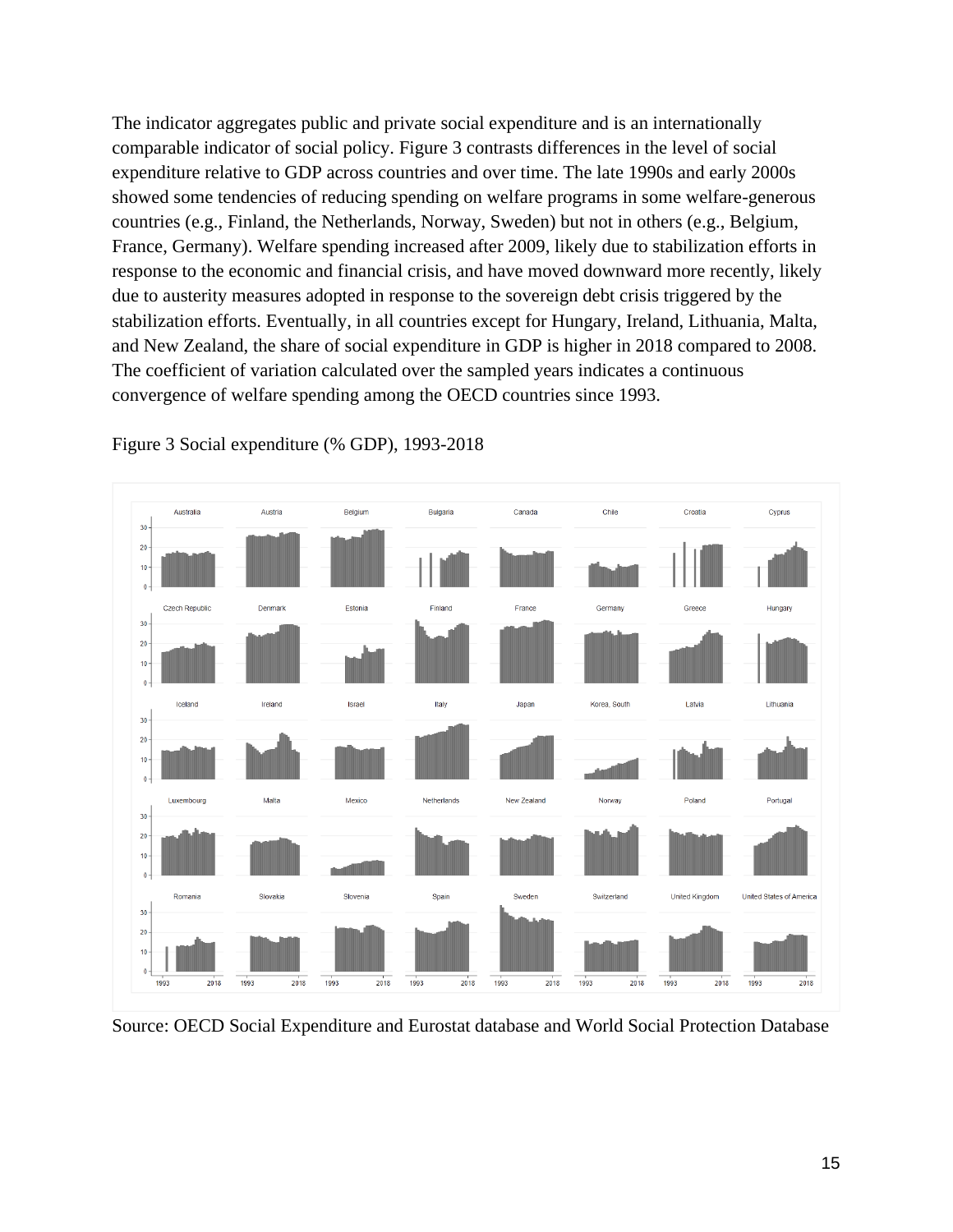The indicator aggregates public and private social expenditure and is an internationally comparable indicator of social policy. Figure 3 contrasts differences in the level of social expenditure relative to GDP across countries and over time. The late 1990s and early 2000s showed some tendencies of reducing spending on welfare programs in some welfare-generous countries (e.g., Finland, the Netherlands, Norway, Sweden) but not in others (e.g., Belgium, France, Germany). Welfare spending increased after 2009, likely due to stabilization efforts in response to the economic and financial crisis, and have moved downward more recently, likely due to austerity measures adopted in response to the sovereign debt crisis triggered by the stabilization efforts. Eventually, in all countries except for Hungary, Ireland, Lithuania, Malta, and New Zealand, the share of social expenditure in GDP is higher in 2018 compared to 2008. The coefficient of variation calculated over the sampled years indicates a continuous convergence of welfare spending among the OECD countries since 1993.



Figure 3 Social expenditure (% GDP), 1993-2018

Source: OECD Social Expenditure and Eurostat database and World Social Protection Database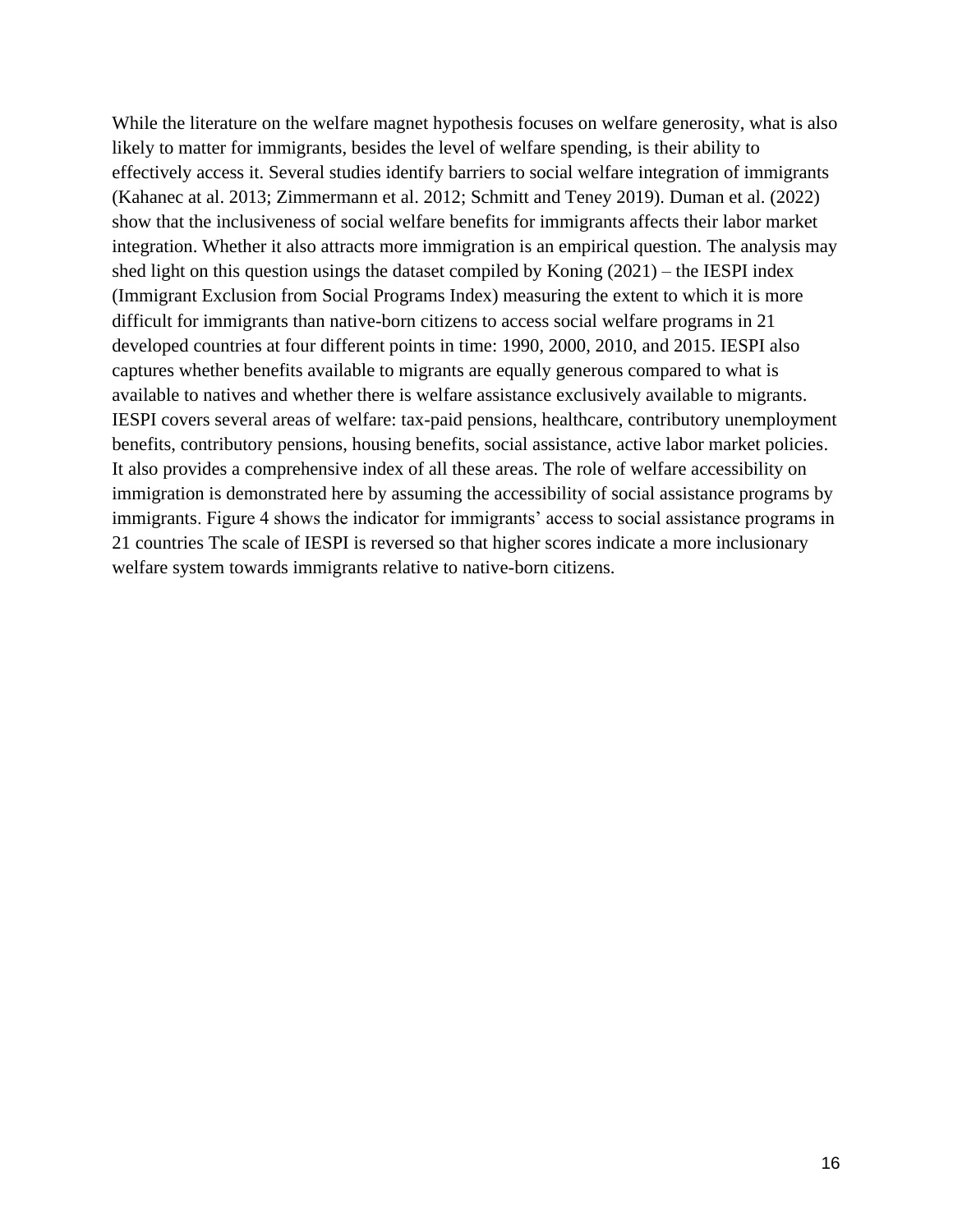While the literature on the welfare magnet hypothesis focuses on welfare generosity, what is also likely to matter for immigrants, besides the level of welfare spending, is their ability to effectively access it. Several studies identify barriers to social welfare integration of immigrants (Kahanec at al. 2013; Zimmermann et al. 2012; Schmitt and Teney 2019). Duman et al. (2022) show that the inclusiveness of social welfare benefits for immigrants affects their labor market integration. Whether it also attracts more immigration is an empirical question. The analysis may shed light on this question usings the dataset compiled by Koning (2021) – the IESPI index (Immigrant Exclusion from Social Programs Index) measuring the extent to which it is more difficult for immigrants than native-born citizens to access social welfare programs in 21 developed countries at four different points in time: 1990, 2000, 2010, and 2015. IESPI also captures whether benefits available to migrants are equally generous compared to what is available to natives and whether there is welfare assistance exclusively available to migrants. IESPI covers several areas of welfare: tax-paid pensions, healthcare, contributory unemployment benefits, contributory pensions, housing benefits, social assistance, active labor market policies. It also provides a comprehensive index of all these areas. The role of welfare accessibility on immigration is demonstrated here by assuming the accessibility of social assistance programs by immigrants. Figure 4 shows the indicator for immigrants' access to social assistance programs in 21 countries The scale of IESPI is reversed so that higher scores indicate a more inclusionary welfare system towards immigrants relative to native-born citizens.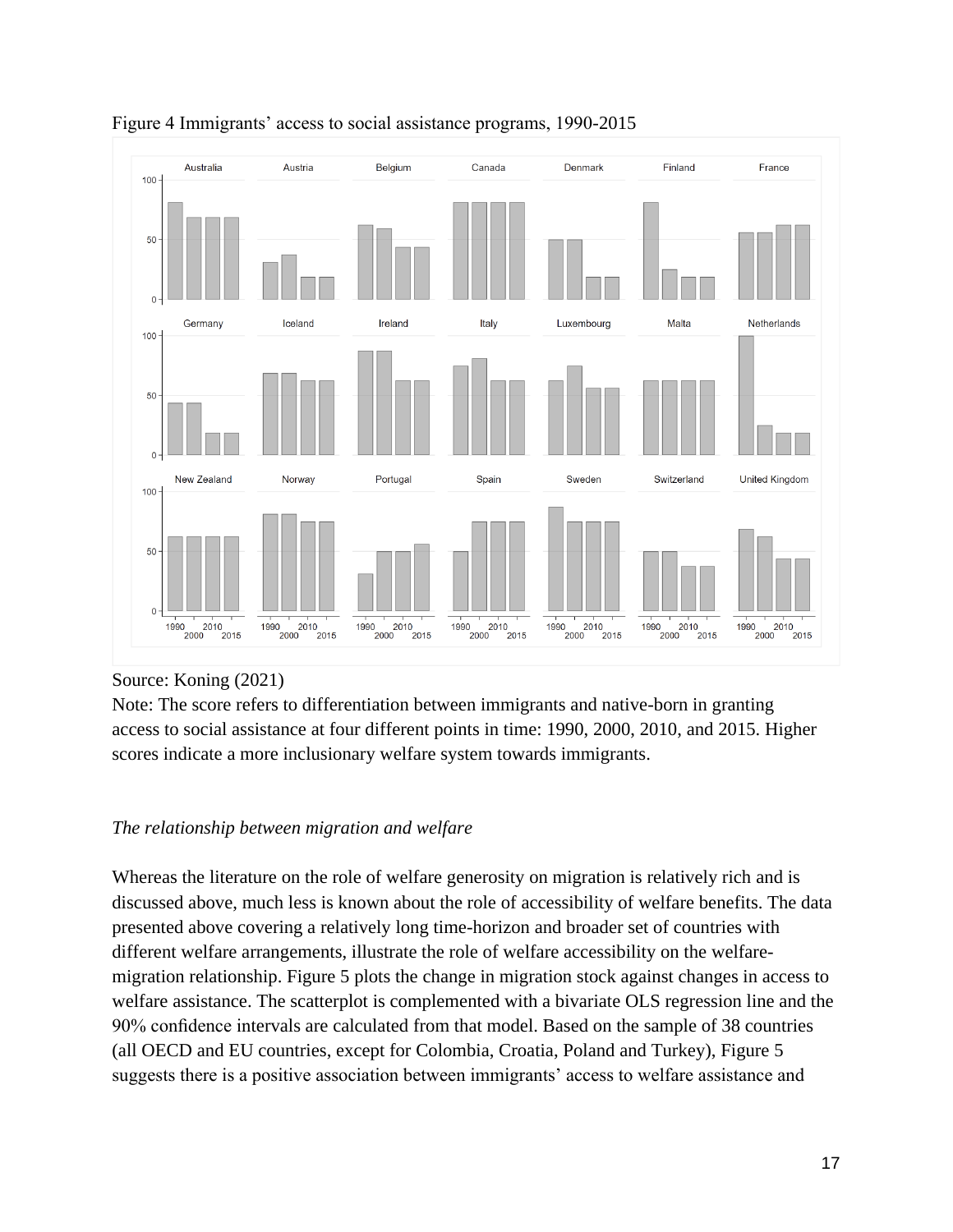

### Figure 4 Immigrants' access to social assistance programs, 1990-2015

# Source: Koning (2021)

Note: The score refers to differentiation between immigrants and native-born in granting access to social assistance at four different points in time: 1990, 2000, 2010, and 2015. Higher scores indicate a more inclusionary welfare system towards immigrants.

# *The relationship between migration and welfare*

Whereas the literature on the role of welfare generosity on migration is relatively rich and is discussed above, much less is known about the role of accessibility of welfare benefits. The data presented above covering a relatively long time-horizon and broader set of countries with different welfare arrangements, illustrate the role of welfare accessibility on the welfaremigration relationship. Figure 5 plots the change in migration stock against changes in access to welfare assistance. The scatterplot is complemented with a bivariate OLS regression line and the 90% confidence intervals are calculated from that model. Based on the sample of 38 countries (all OECD and EU countries, except for Colombia, Croatia, Poland and Turkey), Figure 5 suggests there is a positive association between immigrants' access to welfare assistance and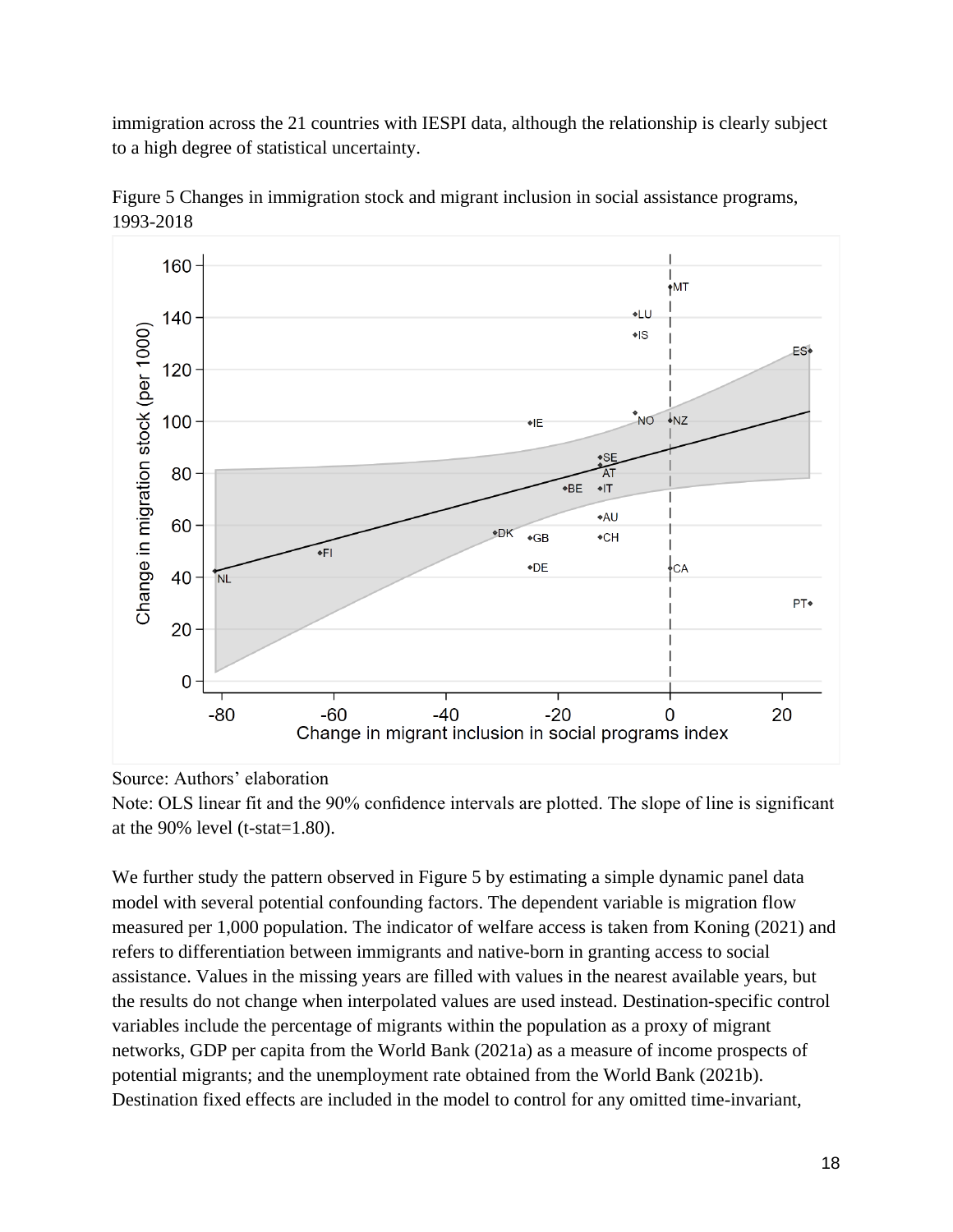immigration across the 21 countries with IESPI data, although the relationship is clearly subject to a high degree of statistical uncertainty.



Figure 5 Changes in immigration stock and migrant inclusion in social assistance programs, 1993-2018

#### Source: Authors' elaboration

Note: OLS linear fit and the 90% confidence intervals are plotted. The slope of line is significant at the 90% level (t-stat=1.80).

We further study the pattern observed in Figure 5 by estimating a simple dynamic panel data model with several potential confounding factors. The dependent variable is migration flow measured per 1,000 population. The indicator of welfare access is taken from Koning (2021) and refers to differentiation between immigrants and native-born in granting access to social assistance. Values in the missing years are filled with values in the nearest available years, but the results do not change when interpolated values are used instead. Destination-specific control variables include the percentage of migrants within the population as a proxy of migrant networks, GDP per capita from the World Bank (2021a) as a measure of income prospects of potential migrants; and the unemployment rate obtained from the World Bank (2021b). Destination fixed effects are included in the model to control for any omitted time-invariant,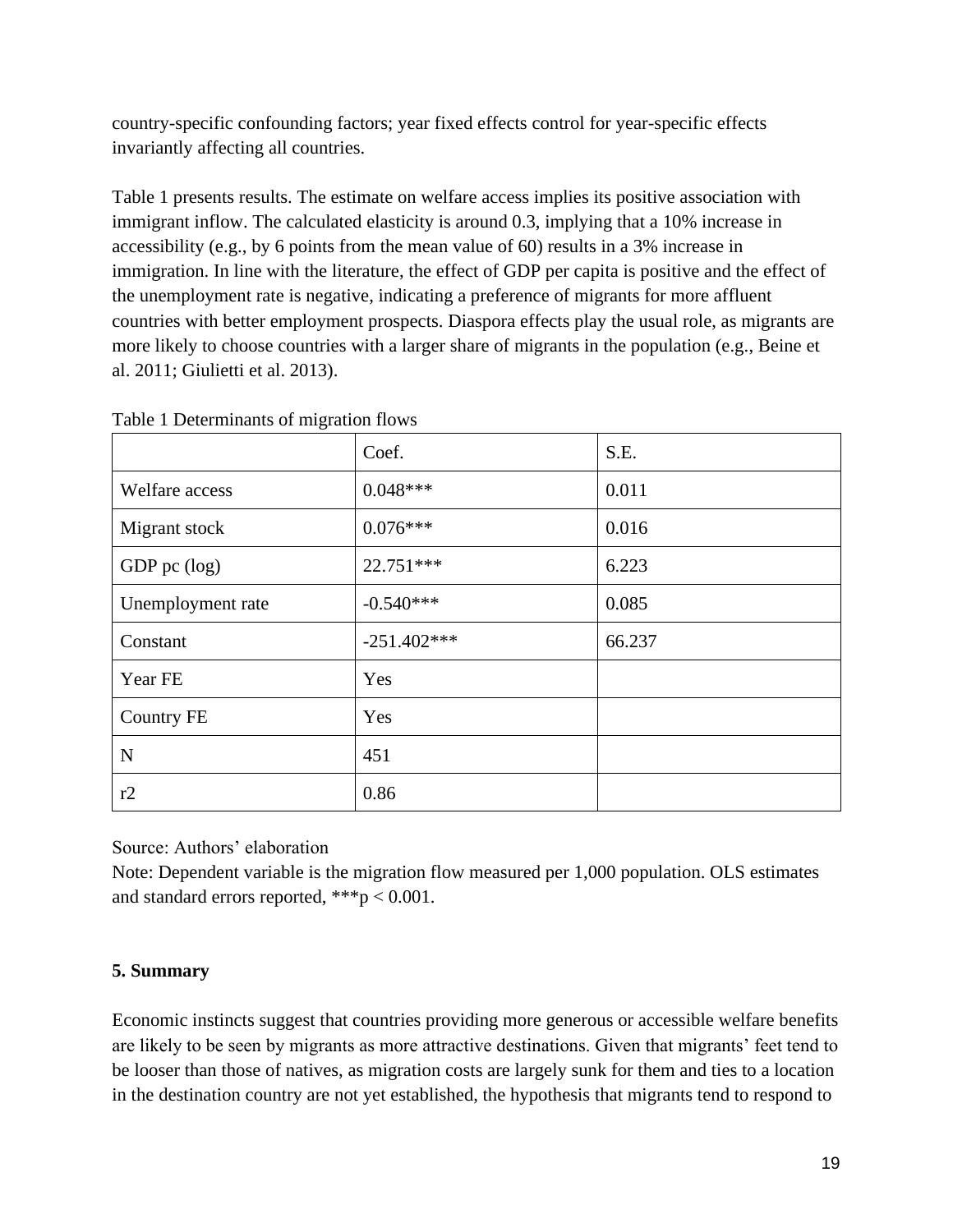country-specific confounding factors; year fixed effects control for year-specific effects invariantly affecting all countries.

Table 1 presents results. The estimate on welfare access implies its positive association with immigrant inflow. The calculated elasticity is around 0.3, implying that a 10% increase in accessibility (e.g., by 6 points from the mean value of 60) results in a 3% increase in immigration. In line with the literature, the effect of GDP per capita is positive and the effect of the unemployment rate is negative, indicating a preference of migrants for more affluent countries with better employment prospects. Diaspora effects play the usual role, as migrants are more likely to choose countries with a larger share of migrants in the population (e.g., Beine et al. 2011; Giulietti et al. 2013).

|                   | Coef.         | S.E.   |
|-------------------|---------------|--------|
| Welfare access    | $0.048***$    | 0.011  |
| Migrant stock     | $0.076***$    | 0.016  |
| GDP pc (log)      | 22.751***     | 6.223  |
| Unemployment rate | $-0.540***$   | 0.085  |
| Constant          | $-251.402***$ | 66.237 |
| Year FE           | Yes           |        |
| <b>Country FE</b> | Yes           |        |
| $\mathbf N$       | 451           |        |
| r2                | 0.86          |        |

Table 1 Determinants of migration flows

Source: Authors' elaboration

Note: Dependent variable is the migration flow measured per 1,000 population. OLS estimates and standard errors reported, \*\*\*p < 0.001.

# **5. Summary**

Economic instincts suggest that countries providing more generous or accessible welfare benefits are likely to be seen by migrants as more attractive destinations. Given that migrants' feet tend to be looser than those of natives, as migration costs are largely sunk for them and ties to a location in the destination country are not yet established, the hypothesis that migrants tend to respond to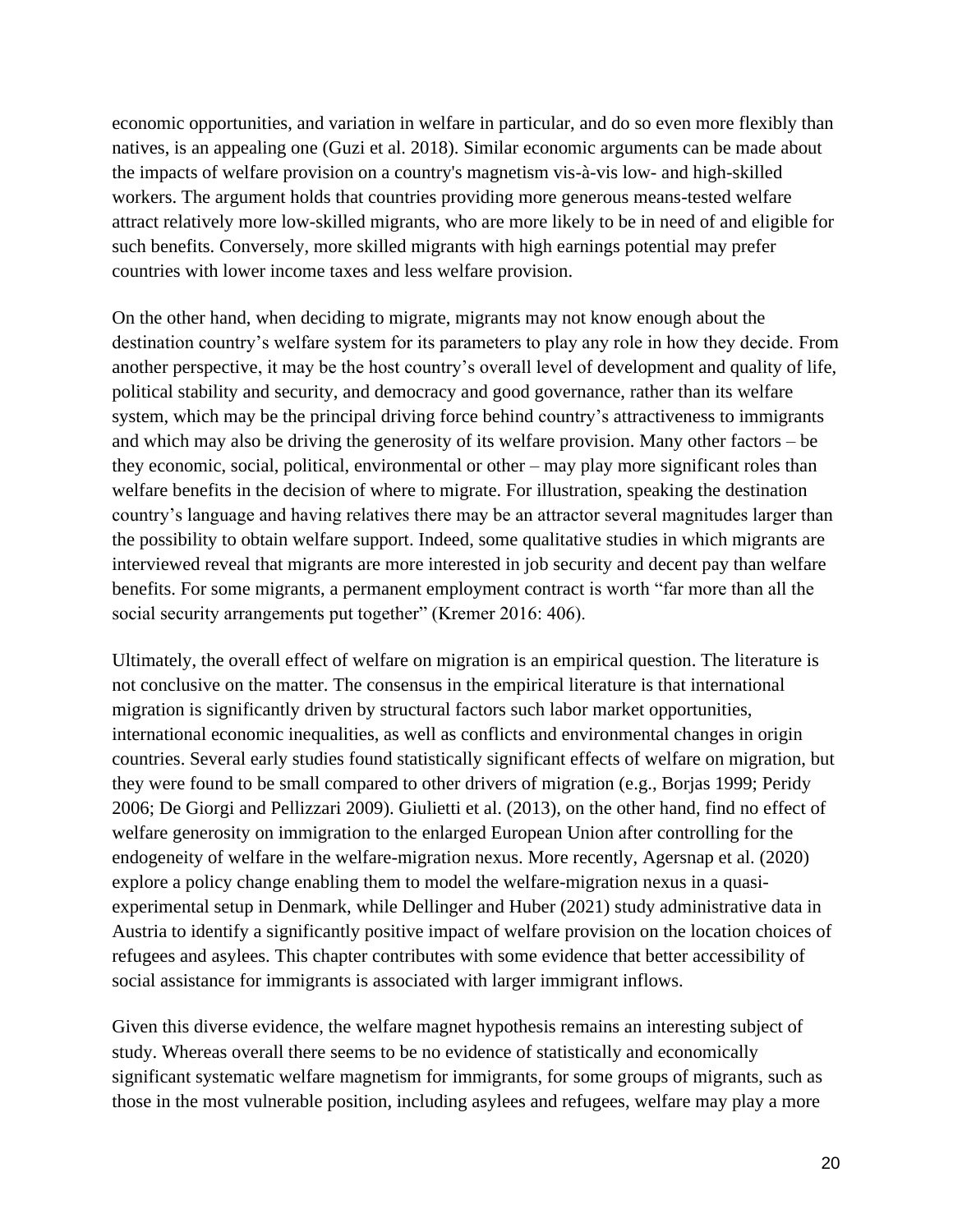economic opportunities, and variation in welfare in particular, and do so even more flexibly than natives, is an appealing one (Guzi et al. 2018). Similar economic arguments can be made about the impacts of welfare provision on a country's magnetism vis-à-vis low- and high-skilled workers. The argument holds that countries providing more generous means-tested welfare attract relatively more low-skilled migrants, who are more likely to be in need of and eligible for such benefits. Conversely, more skilled migrants with high earnings potential may prefer countries with lower income taxes and less welfare provision.

On the other hand, when deciding to migrate, migrants may not know enough about the destination country's welfare system for its parameters to play any role in how they decide. From another perspective, it may be the host country's overall level of development and quality of life, political stability and security, and democracy and good governance, rather than its welfare system, which may be the principal driving force behind country's attractiveness to immigrants and which may also be driving the generosity of its welfare provision. Many other factors – be they economic, social, political, environmental or other – may play more significant roles than welfare benefits in the decision of where to migrate. For illustration, speaking the destination country's language and having relatives there may be an attractor several magnitudes larger than the possibility to obtain welfare support. Indeed, some qualitative studies in which migrants are interviewed reveal that migrants are more interested in job security and decent pay than welfare benefits. For some migrants, a permanent employment contract is worth "far more than all the social security arrangements put together" (Kremer 2016: 406).

Ultimately, the overall effect of welfare on migration is an empirical question. The literature is not conclusive on the matter. The consensus in the empirical literature is that international migration is significantly driven by structural factors such labor market opportunities, international economic inequalities, as well as conflicts and environmental changes in origin countries. Several early studies found statistically significant effects of welfare on migration, but they were found to be small compared to other drivers of migration (e.g., Borjas 1999; Peridy 2006; De Giorgi and Pellizzari 2009). Giulietti et al. (2013), on the other hand, find no effect of welfare generosity on immigration to the enlarged European Union after controlling for the endogeneity of welfare in the welfare-migration nexus. More recently, Agersnap et al. (2020) explore a policy change enabling them to model the welfare-migration nexus in a quasiexperimental setup in Denmark, while Dellinger and Huber (2021) study administrative data in Austria to identify a significantly positive impact of welfare provision on the location choices of refugees and asylees. This chapter contributes with some evidence that better accessibility of social assistance for immigrants is associated with larger immigrant inflows.

Given this diverse evidence, the welfare magnet hypothesis remains an interesting subject of study. Whereas overall there seems to be no evidence of statistically and economically significant systematic welfare magnetism for immigrants, for some groups of migrants, such as those in the most vulnerable position, including asylees and refugees, welfare may play a more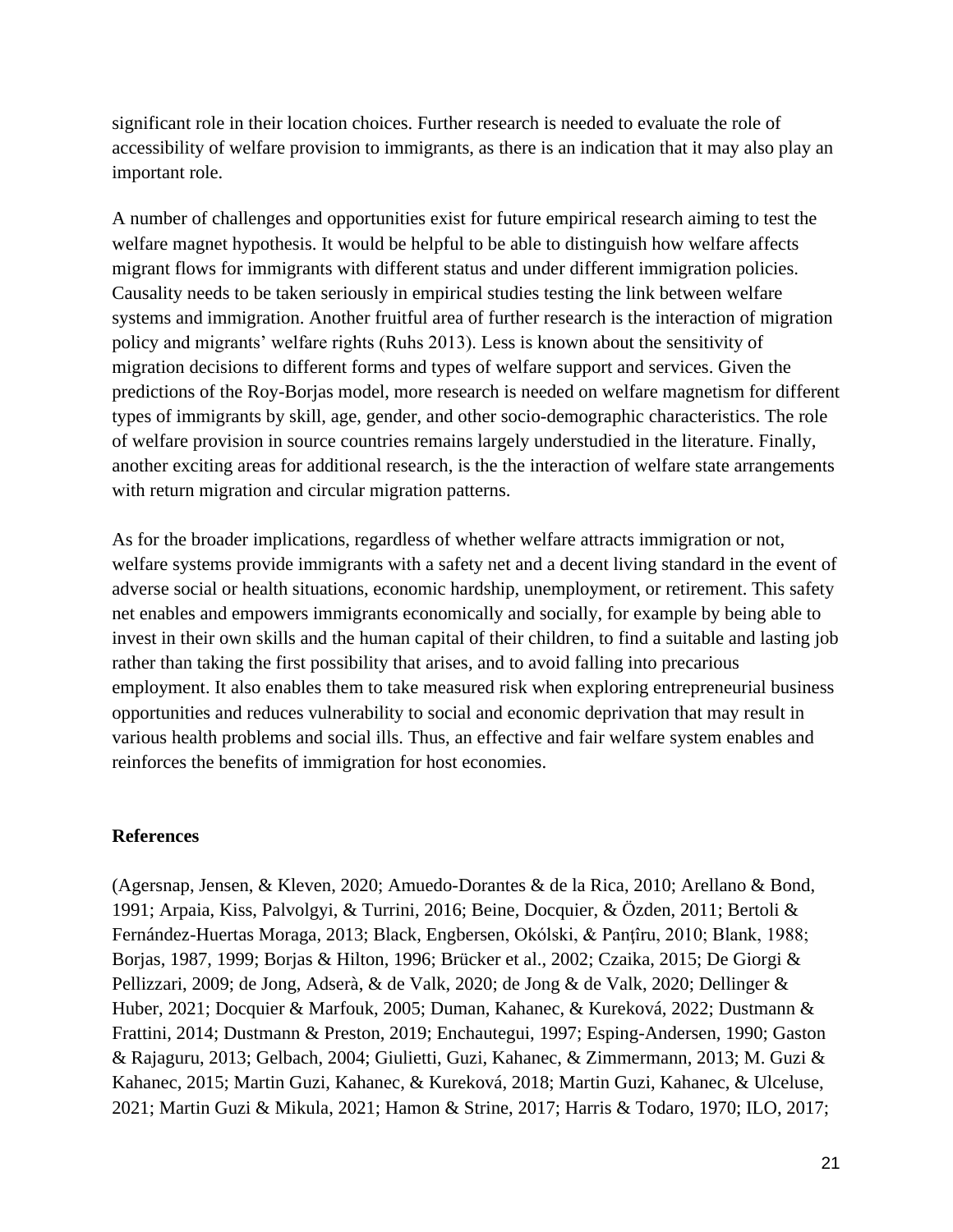significant role in their location choices. Further research is needed to evaluate the role of accessibility of welfare provision to immigrants, as there is an indication that it may also play an important role.

A number of challenges and opportunities exist for future empirical research aiming to test the welfare magnet hypothesis. It would be helpful to be able to distinguish how welfare affects migrant flows for immigrants with different status and under different immigration policies. Causality needs to be taken seriously in empirical studies testing the link between welfare systems and immigration. Another fruitful area of further research is the interaction of migration policy and migrants' welfare rights (Ruhs 2013). Less is known about the sensitivity of migration decisions to different forms and types of welfare support and services. Given the predictions of the Roy-Borjas model, more research is needed on welfare magnetism for different types of immigrants by skill, age, gender, and other socio-demographic characteristics. The role of welfare provision in source countries remains largely understudied in the literature. Finally, another exciting areas for additional research, is the the interaction of welfare state arrangements with return migration and circular migration patterns.

As for the broader implications, regardless of whether welfare attracts immigration or not, welfare systems provide immigrants with a safety net and a decent living standard in the event of adverse social or health situations, economic hardship, unemployment, or retirement. This safety net enables and empowers immigrants economically and socially, for example by being able to invest in their own skills and the human capital of their children, to find a suitable and lasting job rather than taking the first possibility that arises, and to avoid falling into precarious employment. It also enables them to take measured risk when exploring entrepreneurial business opportunities and reduces vulnerability to social and economic deprivation that may result in various health problems and social ills. Thus, an effective and fair welfare system enables and reinforces the benefits of immigration for host economies.

#### **References**

(Agersnap, Jensen, & Kleven, 2020; Amuedo-Dorantes & de la Rica, 2010; Arellano & Bond, 1991; Arpaia, Kiss, Palvolgyi, & Turrini, 2016; Beine, Docquier, & Özden, 2011; Bertoli & Fernández-Huertas Moraga, 2013; Black, Engbersen, Okólski, & Panţîru, 2010; Blank, 1988; Borjas, 1987, 1999; Borjas & Hilton, 1996; Brücker et al., 2002; Czaika, 2015; De Giorgi & Pellizzari, 2009; de Jong, Adserà, & de Valk, 2020; de Jong & de Valk, 2020; Dellinger & Huber, 2021; Docquier & Marfouk, 2005; Duman, Kahanec, & Kureková, 2022; Dustmann & Frattini, 2014; Dustmann & Preston, 2019; Enchautegui, 1997; Esping-Andersen, 1990; Gaston & Rajaguru, 2013; Gelbach, 2004; Giulietti, Guzi, Kahanec, & Zimmermann, 2013; M. Guzi & Kahanec, 2015; Martin Guzi, Kahanec, & Kureková, 2018; Martin Guzi, Kahanec, & Ulceluse, 2021; Martin Guzi & Mikula, 2021; Hamon & Strine, 2017; Harris & Todaro, 1970; ILO, 2017;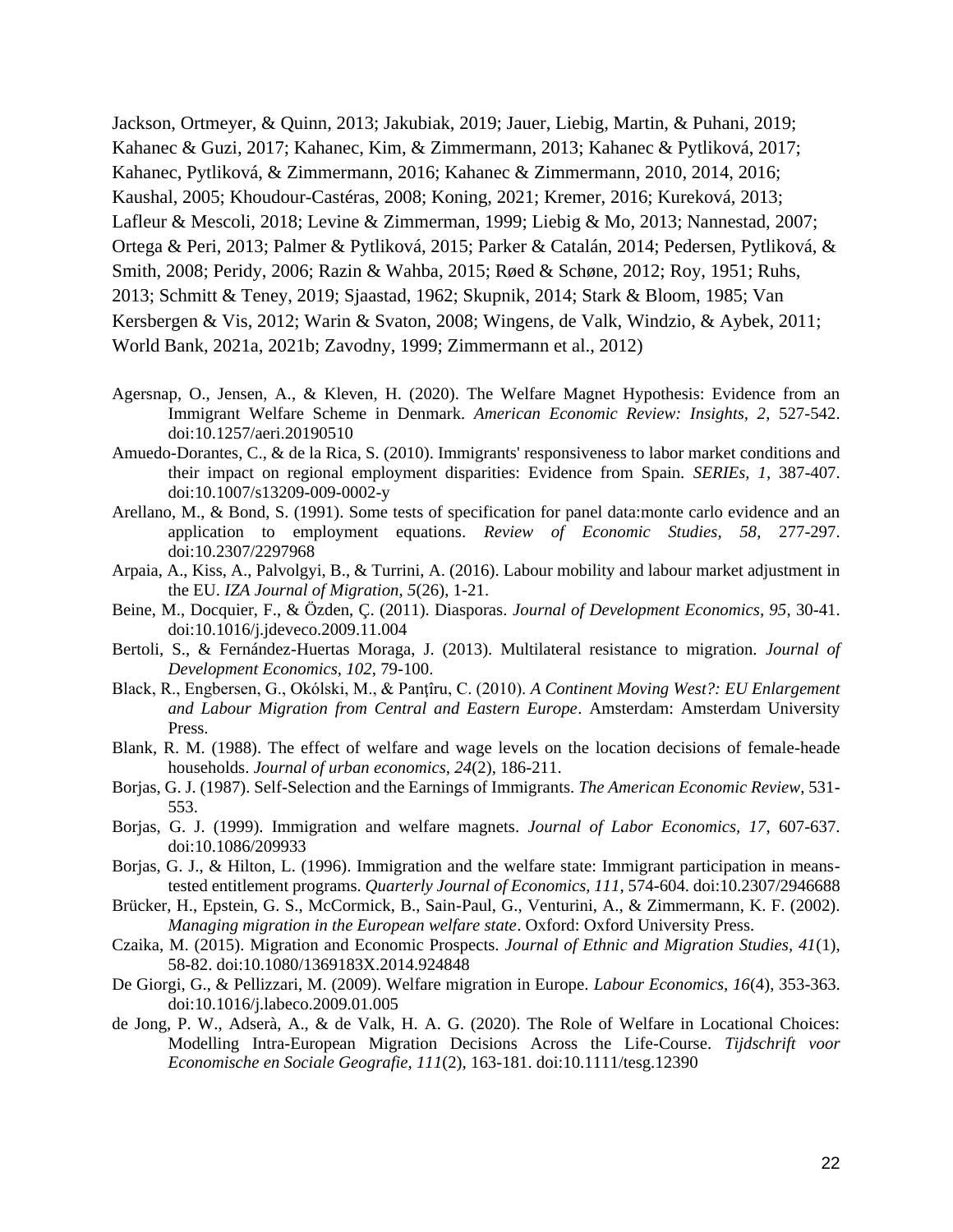Jackson, Ortmeyer, & Quinn, 2013; Jakubiak, 2019; Jauer, Liebig, Martin, & Puhani, 2019; Kahanec & Guzi, 2017; Kahanec, Kim, & Zimmermann, 2013; Kahanec & Pytliková, 2017; Kahanec, Pytliková, & Zimmermann, 2016; Kahanec & Zimmermann, 2010, 2014, 2016; Kaushal, 2005; Khoudour-Castéras, 2008; Koning, 2021; Kremer, 2016; Kureková, 2013; Lafleur & Mescoli, 2018; Levine & Zimmerman, 1999; Liebig & Mo, 2013; Nannestad, 2007; Ortega & Peri, 2013; Palmer & Pytliková, 2015; Parker & Catalán, 2014; Pedersen, Pytliková, & Smith, 2008; Peridy, 2006; Razin & Wahba, 2015; Røed & Schøne, 2012; Roy, 1951; Ruhs, 2013; Schmitt & Teney, 2019; Sjaastad, 1962; Skupnik, 2014; Stark & Bloom, 1985; Van Kersbergen & Vis, 2012; Warin & Svaton, 2008; Wingens, de Valk, Windzio, & Aybek, 2011; World Bank, 2021a, 2021b; Zavodny, 1999; Zimmermann et al., 2012)

- Agersnap, O., Jensen, A., & Kleven, H. (2020). The Welfare Magnet Hypothesis: Evidence from an Immigrant Welfare Scheme in Denmark. *American Economic Review: Insights, 2*, 527-542. doi:10.1257/aeri.20190510
- Amuedo-Dorantes, C., & de la Rica, S. (2010). Immigrants' responsiveness to labor market conditions and their impact on regional employment disparities: Evidence from Spain. *SERIEs, 1*, 387-407. doi:10.1007/s13209-009-0002-y
- Arellano, M., & Bond, S. (1991). Some tests of specification for panel data:monte carlo evidence and an application to employment equations. *Review of Economic Studies, 58*, 277-297. doi:10.2307/2297968
- Arpaia, A., Kiss, A., Palvolgyi, B., & Turrini, A. (2016). Labour mobility and labour market adjustment in the EU. *IZA Journal of Migration, 5*(26), 1-21.
- Beine, M., Docquier, F., & Özden, Ç. (2011). Diasporas. *Journal of Development Economics, 95*, 30-41. doi:10.1016/j.jdeveco.2009.11.004
- Bertoli, S., & Fernández-Huertas Moraga, J. (2013). Multilateral resistance to migration. *Journal of Development Economics, 102*, 79-100.
- Black, R., Engbersen, G., Okólski, M., & Panţîru, C. (2010). *A Continent Moving West?: EU Enlargement and Labour Migration from Central and Eastern Europe*. Amsterdam: Amsterdam University Press.
- Blank, R. M. (1988). The effect of welfare and wage levels on the location decisions of female-heade households. *Journal of urban economics, 24*(2), 186-211.
- Borjas, G. J. (1987). Self-Selection and the Earnings of Immigrants. *The American Economic Review*, 531- 553.
- Borjas, G. J. (1999). Immigration and welfare magnets. *Journal of Labor Economics, 17*, 607-637. doi:10.1086/209933
- Borjas, G. J., & Hilton, L. (1996). Immigration and the welfare state: Immigrant participation in meanstested entitlement programs. *Quarterly Journal of Economics, 111*, 574-604. doi:10.2307/2946688
- Brücker, H., Epstein, G. S., McCormick, B., Sain-Paul, G., Venturini, A., & Zimmermann, K. F. (2002). *Managing migration in the European welfare state*. Oxford: Oxford University Press.
- Czaika, M. (2015). Migration and Economic Prospects. *Journal of Ethnic and Migration Studies, 41*(1), 58-82. doi:10.1080/1369183X.2014.924848
- De Giorgi, G., & Pellizzari, M. (2009). Welfare migration in Europe. *Labour Economics, 16*(4), 353-363. doi:10.1016/j.labeco.2009.01.005
- de Jong, P. W., Adserà, A., & de Valk, H. A. G. (2020). The Role of Welfare in Locational Choices: Modelling Intra-European Migration Decisions Across the Life-Course. *Tijdschrift voor Economische en Sociale Geografie, 111*(2), 163-181. doi:10.1111/tesg.12390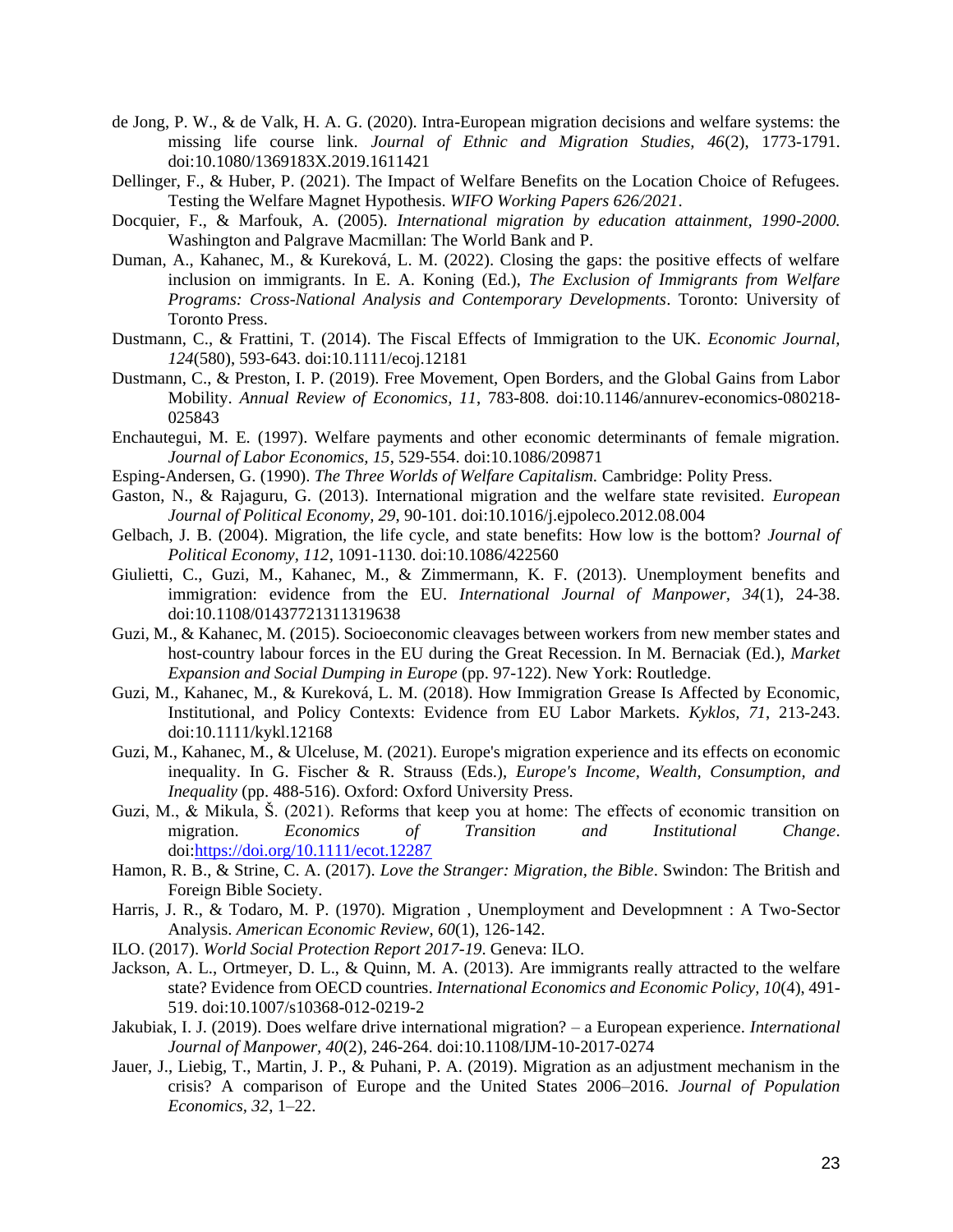- de Jong, P. W., & de Valk, H. A. G. (2020). Intra-European migration decisions and welfare systems: the missing life course link. *Journal of Ethnic and Migration Studies, 46*(2), 1773-1791. doi:10.1080/1369183X.2019.1611421
- Dellinger, F., & Huber, P. (2021). The Impact of Welfare Benefits on the Location Choice of Refugees. Testing the Welfare Magnet Hypothesis. *WIFO Working Papers 626/2021*.
- Docquier, F., & Marfouk, A. (2005). *International migration by education attainment, 1990-2000.* Washington and Palgrave Macmillan: The World Bank and P.
- Duman, A., Kahanec, M., & Kureková, L. M. (2022). Closing the gaps: the positive effects of welfare inclusion on immigrants. In E. A. Koning (Ed.), *The Exclusion of Immigrants from Welfare Programs: Cross-National Analysis and Contemporary Developments*. Toronto: University of Toronto Press.
- Dustmann, C., & Frattini, T. (2014). The Fiscal Effects of Immigration to the UK. *Economic Journal, 124*(580), 593-643. doi:10.1111/ecoj.12181
- Dustmann, C., & Preston, I. P. (2019). Free Movement, Open Borders, and the Global Gains from Labor Mobility. *Annual Review of Economics, 11*, 783-808. doi:10.1146/annurev-economics-080218- 025843
- Enchautegui, M. E. (1997). Welfare payments and other economic determinants of female migration. *Journal of Labor Economics, 15*, 529-554. doi:10.1086/209871
- Esping-Andersen, G. (1990). *The Three Worlds of Welfare Capitalism.* Cambridge: Polity Press.
- Gaston, N., & Rajaguru, G. (2013). International migration and the welfare state revisited. *European Journal of Political Economy, 29*, 90-101. doi:10.1016/j.ejpoleco.2012.08.004
- Gelbach, J. B. (2004). Migration, the life cycle, and state benefits: How low is the bottom? *Journal of Political Economy, 112*, 1091-1130. doi:10.1086/422560
- Giulietti, C., Guzi, M., Kahanec, M., & Zimmermann, K. F. (2013). Unemployment benefits and immigration: evidence from the EU. *International Journal of Manpower, 34*(1), 24-38. doi:10.1108/01437721311319638
- Guzi, M., & Kahanec, M. (2015). Socioeconomic cleavages between workers from new member states and host-country labour forces in the EU during the Great Recession. In M. Bernaciak (Ed.), *Market Expansion and Social Dumping in Europe* (pp. 97-122). New York: Routledge.
- Guzi, M., Kahanec, M., & Kureková, L. M. (2018). How Immigration Grease Is Affected by Economic, Institutional, and Policy Contexts: Evidence from EU Labor Markets. *Kyklos, 71*, 213-243. doi:10.1111/kykl.12168
- Guzi, M., Kahanec, M., & Ulceluse, M. (2021). Europe's migration experience and its effects on economic inequality. In G. Fischer & R. Strauss (Eds.), *Europe's Income, Wealth, Consumption, and Inequality* (pp. 488-516). Oxford: Oxford University Press.
- Guzi, M., & Mikula, Š. (2021). Reforms that keep you at home: The effects of economic transition on migration. *Economics of Transition and Institutional Change*. doi[:https://doi.org/10.1111/ecot.12287](https://doi.org/10.1111/ecot.12287)
- Hamon, R. B., & Strine, C. A. (2017). *Love the Stranger: Migration, the Bible*. Swindon: The British and Foreign Bible Society.
- Harris, J. R., & Todaro, M. P. (1970). Migration , Unemployment and Developmnent : A Two-Sector Analysis. *American Economic Review, 60*(1), 126-142.
- ILO. (2017). *World Social Protection Report 2017-19*. Geneva: ILO.
- Jackson, A. L., Ortmeyer, D. L., & Quinn, M. A. (2013). Are immigrants really attracted to the welfare state? Evidence from OECD countries. *International Economics and Economic Policy, 10*(4), 491- 519. doi:10.1007/s10368-012-0219-2
- Jakubiak, I. J. (2019). Does welfare drive international migration? a European experience. *International Journal of Manpower, 40*(2), 246-264. doi:10.1108/IJM-10-2017-0274
- Jauer, J., Liebig, T., Martin, J. P., & Puhani, P. A. (2019). Migration as an adjustment mechanism in the crisis? A comparison of Europe and the United States 2006–2016. *Journal of Population Economics, 32*, 1–22.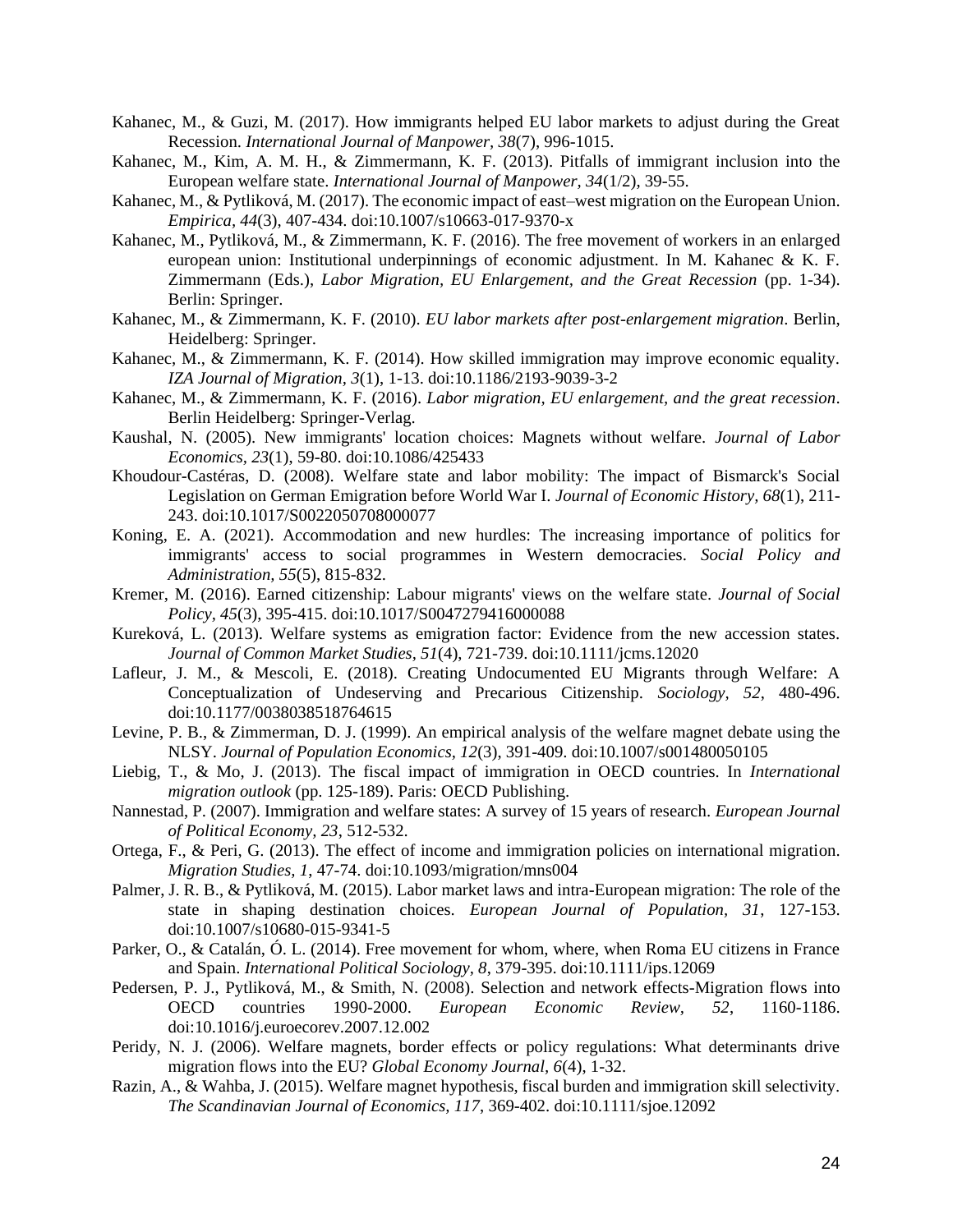- Kahanec, M., & Guzi, M. (2017). How immigrants helped EU labor markets to adjust during the Great Recession. *International Journal of Manpower, 38*(7), 996-1015.
- Kahanec, M., Kim, A. M. H., & Zimmermann, K. F. (2013). Pitfalls of immigrant inclusion into the European welfare state. *International Journal of Manpower, 34*(1/2), 39-55.
- Kahanec, M., & Pytliková, M. (2017). The economic impact of east–west migration on the European Union. *Empirica, 44*(3), 407-434. doi:10.1007/s10663-017-9370-x
- Kahanec, M., Pytliková, M., & Zimmermann, K. F. (2016). The free movement of workers in an enlarged european union: Institutional underpinnings of economic adjustment. In M. Kahanec & K. F. Zimmermann (Eds.), *Labor Migration, EU Enlargement, and the Great Recession* (pp. 1-34). Berlin: Springer.
- Kahanec, M., & Zimmermann, K. F. (2010). *EU labor markets after post-enlargement migration*. Berlin, Heidelberg: Springer.
- Kahanec, M., & Zimmermann, K. F. (2014). How skilled immigration may improve economic equality. *IZA Journal of Migration, 3*(1), 1-13. doi:10.1186/2193-9039-3-2
- Kahanec, M., & Zimmermann, K. F. (2016). *Labor migration, EU enlargement, and the great recession*. Berlin Heidelberg: Springer-Verlag.
- Kaushal, N. (2005). New immigrants' location choices: Magnets without welfare. *Journal of Labor Economics, 23*(1), 59-80. doi:10.1086/425433
- Khoudour-Castéras, D. (2008). Welfare state and labor mobility: The impact of Bismarck's Social Legislation on German Emigration before World War I. *Journal of Economic History, 68*(1), 211- 243. doi:10.1017/S0022050708000077
- Koning, E. A. (2021). Accommodation and new hurdles: The increasing importance of politics for immigrants' access to social programmes in Western democracies. *Social Policy and Administration, 55*(5), 815-832.
- Kremer, M. (2016). Earned citizenship: Labour migrants' views on the welfare state. *Journal of Social Policy, 45*(3), 395-415. doi:10.1017/S0047279416000088
- Kureková, L. (2013). Welfare systems as emigration factor: Evidence from the new accession states. *Journal of Common Market Studies, 51*(4), 721-739. doi:10.1111/jcms.12020
- Lafleur, J. M., & Mescoli, E. (2018). Creating Undocumented EU Migrants through Welfare: A Conceptualization of Undeserving and Precarious Citizenship. *Sociology, 52*, 480-496. doi:10.1177/0038038518764615
- Levine, P. B., & Zimmerman, D. J. (1999). An empirical analysis of the welfare magnet debate using the NLSY. *Journal of Population Economics, 12*(3), 391-409. doi:10.1007/s001480050105
- Liebig, T., & Mo, J. (2013). The fiscal impact of immigration in OECD countries. In *International migration outlook* (pp. 125-189). Paris: OECD Publishing.
- Nannestad, P. (2007). Immigration and welfare states: A survey of 15 years of research. *European Journal of Political Economy, 23*, 512-532.
- Ortega, F., & Peri, G. (2013). The effect of income and immigration policies on international migration. *Migration Studies, 1*, 47-74. doi:10.1093/migration/mns004
- Palmer, J. R. B., & Pytliková, M. (2015). Labor market laws and intra-European migration: The role of the state in shaping destination choices. *European Journal of Population, 31*, 127-153. doi:10.1007/s10680-015-9341-5
- Parker, O., & Catalán, Ó. L. (2014). Free movement for whom, where, when Roma EU citizens in France and Spain. *International Political Sociology, 8*, 379-395. doi:10.1111/ips.12069
- Pedersen, P. J., Pytliková, M., & Smith, N. (2008). Selection and network effects-Migration flows into OECD countries 1990-2000. *European Economic Review, 52*, 1160-1186. doi:10.1016/j.euroecorev.2007.12.002
- Peridy, N. J. (2006). Welfare magnets, border effects or policy regulations: What determinants drive migration flows into the EU? *Global Economy Journal, 6*(4), 1-32.
- Razin, A., & Wahba, J. (2015). Welfare magnet hypothesis, fiscal burden and immigration skill selectivity. *The Scandinavian Journal of Economics, 117*, 369-402. doi:10.1111/sjoe.12092